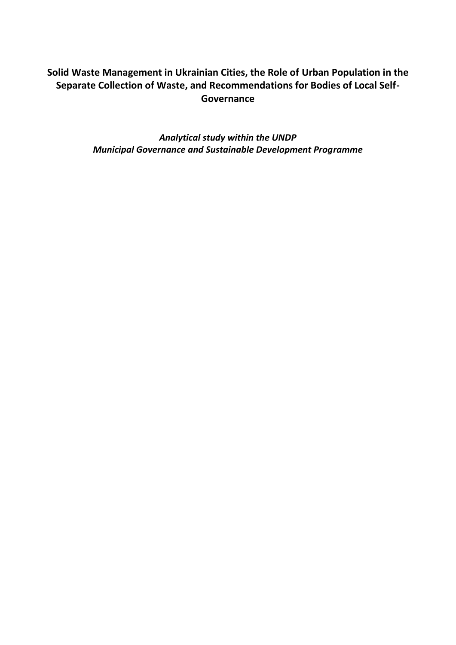# **Solid Waste Management in Ukrainian Cities, the Role of Urban Population in the Separate Collection of Waste, and Recommendations for Bodies of Local Self- Governance**

*Analytical study within the UNDP Municipal Governance and Sustainable Development Programme*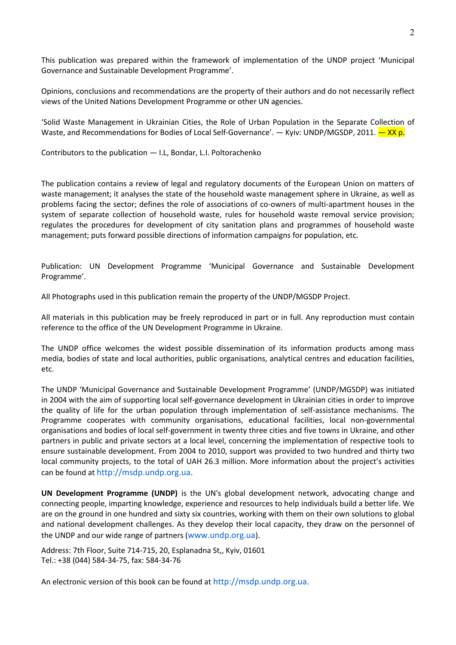This publication was prepared within the framework of implementation of the UNDP project 'Municipal Governance and Sustainable Development Programme'.

Opinions, conclusions and recommendations are the property of their authors and do not necessarily reflect views of the United Nations Development Programme or other UN agencies.

'Solid Waste Management in Ukrainian Cities, the Role of Urban Population in the Separate Collection of Waste, and Recommendations for Bodies of Local Self-Governance'. — Kyiv: UNDP/MGSDP, 2011. — XX p.

Contributors to the publication — I.L, Bondar, L.I. Poltorachenko

The publication contains a review of legal and regulatory documents of the European Union on matters of waste management; it analyses the state of the household waste management sphere in Ukraine, as well as problems facing the sector; defines the role of associations of co-owners of multi-apartment houses in the system of separate collection of household waste, rules for household waste removal service provision; regulates the procedures for development of city sanitation plans and programmes of household waste management; puts forward possible directions of information campaigns for population, etc.

Publication: UN Development Programme 'Municipal Governance and Sustainable Development Programme'.

All Photographs used in this publication remain the property of the UNDP/MGSDP Project.

All materials in this publication may be freely reproduced in part or in full. Any reproduction must contain reference to the office of the UN Development Programme in Ukraine.

The UNDP office welcomes the widest possible dissemination of its information products among mass media, bodies of state and local authorities, public organisations, analytical centres and education facilities, etc.

The UNDP 'Municipal Governance and Sustainable Development Programme' (UNDP/MGSDP) was initiated in 2004 with the aim of supporting local self-governance development in Ukrainian cities in order to improve the quality of life for the urban population through implementation of self-assistance mechanisms. The Programme cooperates with community organisations, educational facilities, local non-governmental organisations and bodies of local self-government in twenty three cities and five towns in Ukraine, and other partners in public and private sectors at a local level, concerning the implementation of respective tools to ensure sustainable development. From 2004 to 2010, support was provided to two hundred and thirty two local community projects, to the total of UAH 26.3 million. More information about the project's activities can be found at http://msdp.undp.org.ua.

**UN Development Programme (UNDP)** is the UN's global development network, advocating change and connecting people, imparting knowledge, experience and resources to help individuals build a better life. We are on the ground in one hundred and sixty six countries, working with them on their own solutions to global and national development challenges. As they develop their local capacity, they draw on the personnel of the UNDP and our wide range of partners (www.undp.org.ua).

Address: 7th Floor, Suite 714-715, 20, Esplanadna St,, Kyiv, 01601 Tel.: +38 (044) 584-34-75, fax: 584-34-76

An electronic version of this book can be found at http://msdp.undp.org.ua.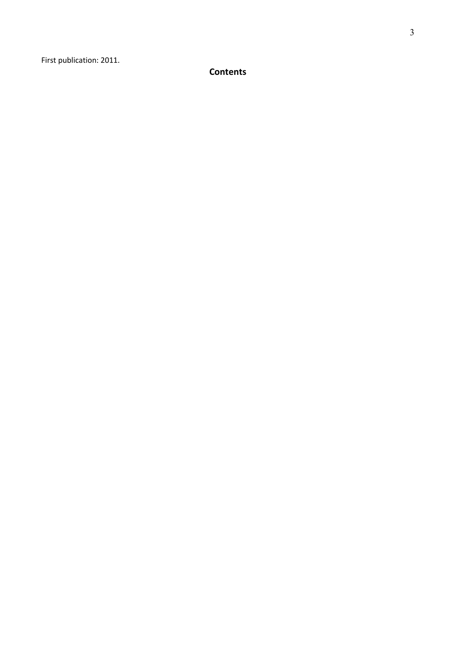First publication: 2011.

**Contents**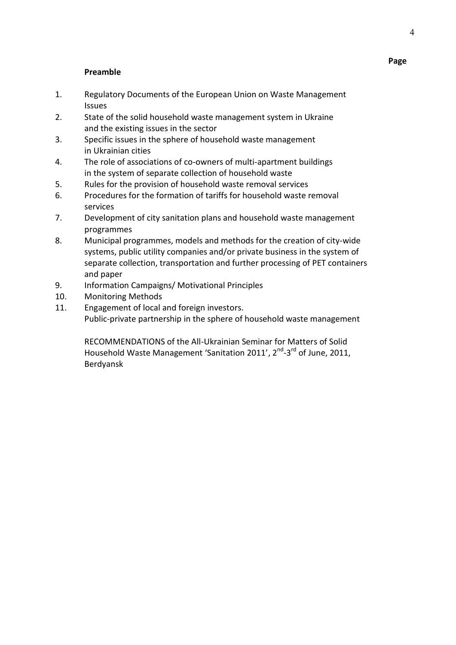### **Preamble**

- 1. Regulatory Documents of the European Union on Waste Management Issues
- 2. State of the solid household waste management system in Ukraine and the existing issues in the sector
- 3. Specific issues in the sphere of household waste management in Ukrainian cities
- 4. The role of associations of co-owners of multi-apartment buildings in the system of separate collection of household waste
- 5. Rules for the provision of household waste removal services
- 6. Procedures for the formation of tariffs for household waste removal services
- 7. Development of city sanitation plans and household waste management programmes
- 8. Municipal programmes, models and methods for the creation of city-wide systems, public utility companies and/or private business in the system of separate collection, transportation and further processing of PET containers and paper
- 9. Information Campaigns/ Motivational Principles
- 10. Monitoring Methods
- 11. Engagement of local and foreign investors. Public-private partnership in the sphere of household waste management

RECOMMENDATIONS of the All-Ukrainian Seminar for Matters of Solid Household Waste Management 'Sanitation 2011', 2<sup>nd</sup>-3<sup>rd</sup> of June, 2011, Berdyansk

#### **Page**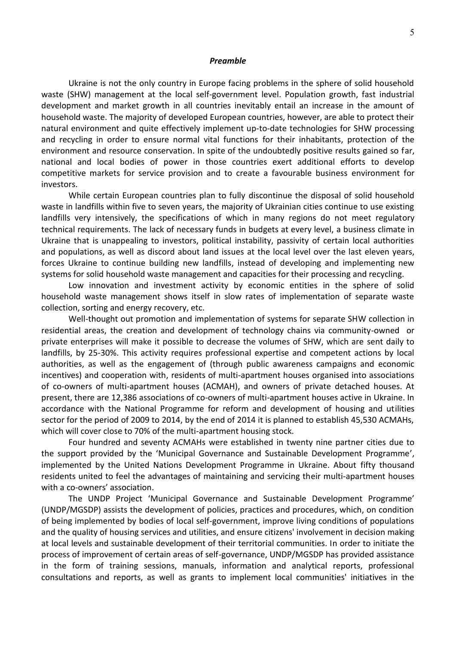#### *Preamble*

Ukraine is not the only country in Europe facing problems in the sphere of solid household waste (SHW) management at the local self-government level. Population growth, fast industrial development and market growth in all countries inevitably entail an increase in the amount of household waste. The majority of developed European countries, however, are able to protect their natural environment and quite effectively implement up-to-date technologies for SHW processing and recycling in order to ensure normal vital functions for their inhabitants, protection of the environment and resource conservation. In spite of the undoubtedly positive results gained so far, national and local bodies of power in those countries exert additional efforts to develop competitive markets for service provision and to create a favourable business environment for investors.

While certain European countries plan to fully discontinue the disposal of solid household waste in landfills within five to seven years, the majority of Ukrainian cities continue to use existing landfills very intensively, the specifications of which in many regions do not meet regulatory technical requirements. The lack of necessary funds in budgets at every level, a business climate in Ukraine that is unappealing to investors, political instability, passivity of certain local authorities and populations, as well as discord about land issues at the local level over the last eleven years, forces Ukraine to continue building new landfills, instead of developing and implementing new systems for solid household waste management and capacities for their processing and recycling.

Low innovation and investment activity by economic entities in the sphere of solid household waste management shows itself in slow rates of implementation of separate waste collection, sorting and energy recovery, etc.

Well-thought out promotion and implementation of systems for separate SHW collection in residential areas, the creation and development of technology chains via community-owned or private enterprises will make it possible to decrease the volumes of SHW, which are sent daily to landfills, by 25-30%. This activity requires professional expertise and competent actions by local authorities, as well as the engagement of (through public awareness campaigns and economic incentives) and cooperation with, residents of multi-apartment houses organised into associations of co-owners of multi-apartment houses (ACMAH), and owners of private detached houses. At present, there are 12,386 associations of co-owners of multi-apartment houses active in Ukraine. In accordance with the National Programme for reform and development of housing and utilities sector for the period of 2009 to 2014, by the end of 2014 it is planned to establish 45,530 ACMAHs, which will cover close to 70% of the multi-apartment housing stock.

Four hundred and seventy ACMAHs were established in twenty nine partner cities due to the support provided by the 'Municipal Governance and Sustainable Development Programme', implemented by the United Nations Development Programme in Ukraine. About fifty thousand residents united to feel the advantages of maintaining and servicing their multi-apartment houses with a co-owners' association.

The UNDP Project 'Municipal Governance and Sustainable Development Programme' (UNDP/MGSDP) assists the development of policies, practices and procedures, which, on condition of being implemented by bodies of local self-government, improve living conditions of populations and the quality of housing services and utilities, and ensure citizens' involvement in decision making at local levels and sustainable development of their territorial communities. In order to initiate the process of improvement of certain areas of self-governance, UNDP/MGSDP has provided assistance in the form of training sessions, manuals, information and analytical reports, professional consultations and reports, as well as grants to implement local communities' initiatives in the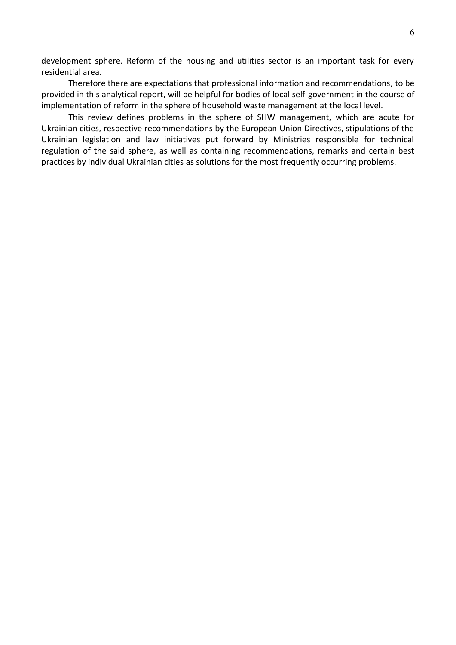development sphere. Reform of the housing and utilities sector is an important task for every residential area.

Therefore there are expectations that professional information and recommendations, to be provided in this analytical report, will be helpful for bodies of local self-government in the course of implementation of reform in the sphere of household waste management at the local level.

This review defines problems in the sphere of SHW management, which are acute for Ukrainian cities, respective recommendations by the European Union Directives, stipulations of the Ukrainian legislation and law initiatives put forward by Ministries responsible for technical regulation of the said sphere, as well as containing recommendations, remarks and certain best practices by individual Ukrainian cities as solutions for the most frequently occurring problems.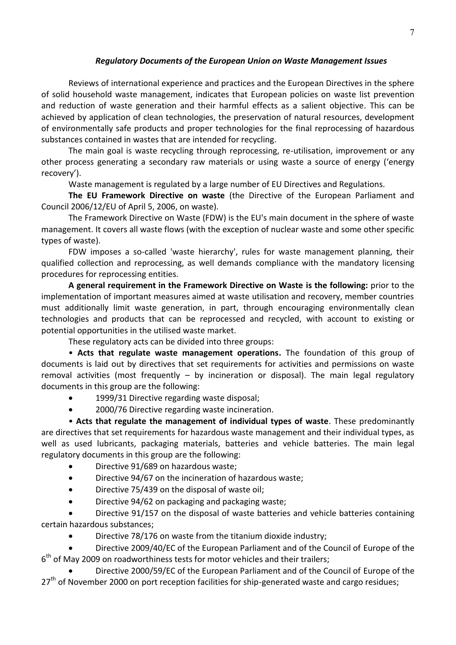### *Regulatory Documents of the European Union on Waste Management Issues*

Reviews of international experience and practices and the European Directives in the sphere of solid household waste management, indicates that European policies on waste list prevention and reduction of waste generation and their harmful effects as a salient objective. This can be achieved by application of clean technologies, the preservation of natural resources, development of environmentally safe products and proper technologies for the final reprocessing of hazardous substances contained in wastes that are intended for recycling.

The main goal is waste recycling through reprocessing, re-utilisation, improvement or any other process generating a secondary raw materials or using waste a source of energy ('energy recovery').

Waste management is regulated by a large number of EU Directives and Regulations.

**The EU Framework Directive on waste** (the Directive of the European Parliament and Council 2006/12/EU of April 5, 2006, on waste).

The Framework Directive on Waste (FDW) is the EU's main document in the sphere of waste management. It covers all waste flows (with the exception of nuclear waste and some other specific types of waste).

FDW imposes a so-called 'waste hierarchy', rules for waste management planning, their qualified collection and reprocessing, as well demands compliance with the mandatory licensing procedures for reprocessing entities.

**A general requirement in the Framework Directive on Waste is the following:** prior to the implementation of important measures aimed at waste utilisation and recovery, member countries must additionally limit waste generation, in part, through encouraging environmentally clean technologies and products that can be reprocessed and recycled, with account to existing or potential opportunities in the utilised waste market.

These regulatory acts can be divided into three groups:

• **Acts that regulate waste management operations.** The foundation of this group of documents is laid out by directives that set requirements for activities and permissions on waste removal activities (most frequently – by incineration or disposal). The main legal regulatory documents in this group are the following:

- 1999/31 Directive regarding waste disposal;
- 2000/76 Directive regarding waste incineration.

• **Acts that regulate the management of individual types of waste**. These predominantly are directives that set requirements for hazardous waste management and their individual types, as well as used lubricants, packaging materials, batteries and vehicle batteries. The main legal regulatory documents in this group are the following:

- Directive 91/689 on hazardous waste;
- Directive 94/67 on the incineration of hazardous waste;
- Directive 75/439 on the disposal of waste oil;
- Directive 94/62 on packaging and packaging waste;

 Directive 91/157 on the disposal of waste batteries and vehicle batteries containing certain hazardous substances;

• Directive 78/176 on waste from the titanium dioxide industry;

 Directive 2009/40/EC of the European Parliament and of the Council of Europe of the 6<sup>th</sup> of May 2009 on roadworthiness tests for motor vehicles and their trailers;

 Directive 2000/59/EC of the European Parliament and of the Council of Europe of the  $27<sup>th</sup>$  of November 2000 on port reception facilities for ship-generated waste and cargo residues;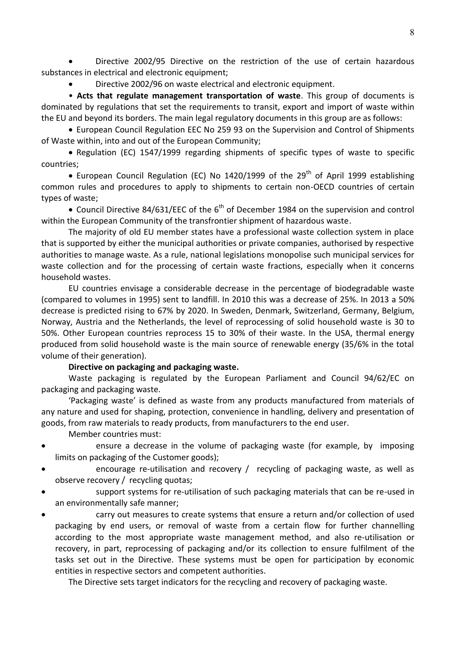Directive 2002/95 Directive on the restriction of the use of certain hazardous substances in electrical and electronic equipment;

Directive 2002/96 on waste electrical and electronic equipment.

• **Acts that regulate management transportation of waste**. This group of documents is dominated by regulations that set the requirements to transit, export and import of waste within the EU and beyond its borders. The main legal regulatory documents in this group are as follows:

 European Council Regulation EEC No 259 93 on the Supervision and Control of Shipments of Waste within, into and out of the European Community;

• Regulation (EC) 1547/1999 regarding shipments of specific types of waste to specific countries;

• European Council Regulation (EC) No 1420/1999 of the 29<sup>th</sup> of April 1999 establishing common rules and procedures to apply to shipments to certain non-OECD countries of certain types of waste;

• Council Directive 84/631/EEC of the  $6<sup>th</sup>$  of December 1984 on the supervision and control within the European Community of the transfrontier shipment of hazardous waste.

The majority of old EU member states have a professional waste collection system in place that is supported by either the municipal authorities or private companies, authorised by respective authorities to manage waste. As a rule, national legislations monopolise such municipal services for waste collection and for the processing of certain waste fractions, especially when it concerns household wastes.

EU countries envisage a considerable decrease in the percentage of biodegradable waste (compared to volumes in 1995) sent to landfill. In 2010 this was a decrease of 25%. In 2013 a 50% decrease is predicted rising to 67% by 2020. In Sweden, Denmark, Switzerland, Germany, Belgium, Norway, Austria and the Netherlands, the level of reprocessing of solid household waste is 30 to 50%. Other European countries reprocess 15 to 30% of their waste. In the USA, thermal energy produced from solid household waste is the main source of renewable energy (35/6% in the total volume of their generation).

#### **Directive on packaging and packaging waste.**

Waste packaging is regulated by the European Parliament and Council 94/62/EC on packaging and packaging waste.

'Packaging waste' is defined as waste from any products manufactured from materials of any nature and used for shaping, protection, convenience in handling, delivery and presentation of goods, from raw materials to ready products, from manufacturers to the end user.

Member countries must:

- ensure a decrease in the volume of packaging waste (for example, by imposing limits on packaging of the Customer goods);
- encourage re-utilisation and recovery / recycling of packaging waste, as well as observe recovery / recycling quotas;
- support systems for re-utilisation of such packaging materials that can be re-used in an environmentally safe manner;
- carry out measures to create systems that ensure a return and/or collection of used packaging by end users, or removal of waste from a certain flow for further channelling according to the most appropriate waste management method, and also re-utilisation or recovery, in part, reprocessing of packaging and/or its collection to ensure fulfilment of the tasks set out in the Directive. These systems must be open for participation by economic entities in respective sectors and competent authorities.

The Directive sets target indicators for the recycling and recovery of packaging waste.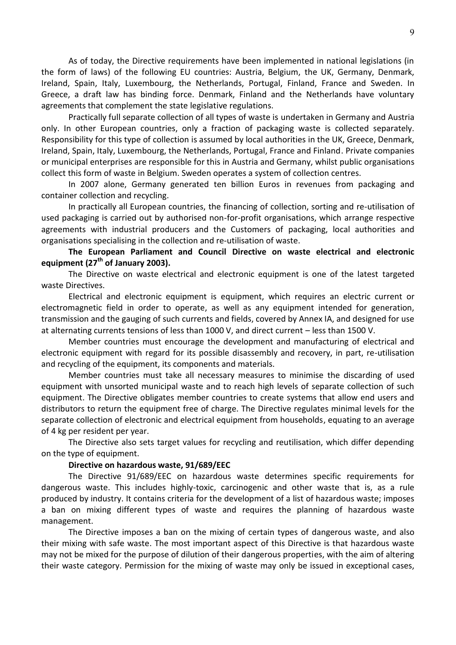As of today, the Directive requirements have been implemented in national legislations (in the form of laws) of the following EU countries: Austria, Belgium, the UK, Germany, Denmark, Ireland, Spain, Italy, Luxembourg, the Netherlands, Portugal, Finland, France and Sweden. In Greece, a draft law has binding force. Denmark, Finland and the Netherlands have voluntary agreements that complement the state legislative regulations.

Practically full separate collection of all types of waste is undertaken in Germany and Austria only. In other European countries, only a fraction of packaging waste is collected separately. Responsibility for this type of collection is assumed by local authorities in the UK, Greece, Denmark, Ireland, Spain, Italy, Luxembourg, the Netherlands, Portugal, France and Finland. Private companies or municipal enterprises are responsible for this in Austria and Germany, whilst public organisations collect this form of waste in Belgium. Sweden operates a system of collection centres.

In 2007 alone, Germany generated ten billion Euros in revenues from packaging and container collection and recycling.

In practically all European countries, the financing of collection, sorting and re-utilisation of used packaging is carried out by authorised non-for-profit organisations, which arrange respective agreements with industrial producers and the Customers of packaging, local authorities and organisations specialising in the collection and re-utilisation of waste.

#### **The European Parliament and Council Directive on waste electrical and electronic equipment (27th of January 2003).**

The Directive on waste electrical and electronic equipment is one of the latest targeted waste Directives.

Electrical and electronic equipment is equipment, which requires an electric current or electromagnetic field in order to operate, as well as any equipment intended for generation, transmission and the gauging of such currents and fields, covered by Annex IA, and designed for use at alternating currents tensions of less than 1000 V, and direct current – less than 1500 V.

Member countries must encourage the development and manufacturing of electrical and electronic equipment with regard for its possible disassembly and recovery, in part, re-utilisation and recycling of the equipment, its components and materials.

Member countries must take all necessary measures to minimise the discarding of used equipment with unsorted municipal waste and to reach high levels of separate collection of such equipment. The Directive obligates member countries to create systems that allow end users and distributors to return the equipment free of charge. The Directive regulates minimal levels for the separate collection of electronic and electrical equipment from households, equating to an average of 4 kg per resident per year.

The Directive also sets target values for recycling and reutilisation, which differ depending on the type of equipment.

#### **Directive on hazardous waste, 91/689/EEC**

The Directive 91/689/EEC on hazardous waste determines specific requirements for dangerous waste. This includes highly-toxic, carcinogenic and other waste that is, as a rule produced by industry. It contains criteria for the development of a list of hazardous waste; imposes a ban on mixing different types of waste and requires the planning of hazardous waste management.

The Directive imposes a ban on the mixing of certain types of dangerous waste, and also their mixing with safe waste. The most important aspect of this Directive is that hazardous waste may not be mixed for the purpose of dilution of their dangerous properties, with the aim of altering their waste category. Permission for the mixing of waste may only be issued in exceptional cases,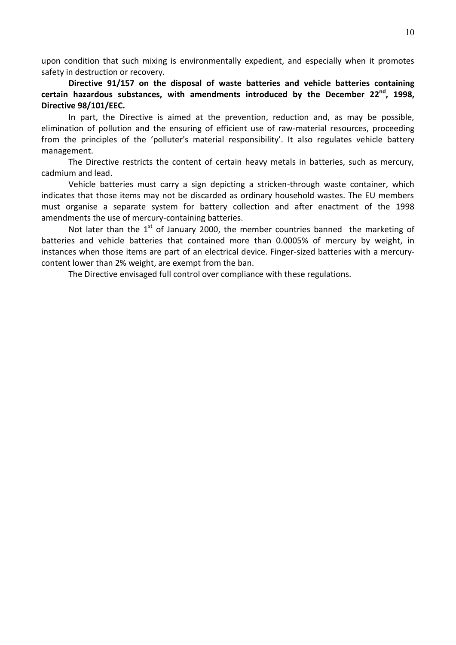upon condition that such mixing is environmentally expedient, and especially when it promotes safety in destruction or recovery.

**Directive 91/157 on the disposal of waste batteries and vehicle batteries containing certain hazardous substances, with amendments introduced by the December 22nd, 1998, Directive 98/101/EEC.**

In part, the Directive is aimed at the prevention, reduction and, as may be possible, elimination of pollution and the ensuring of efficient use of raw-material resources, proceeding from the principles of the 'polluter's material responsibility'. It also regulates vehicle battery management.

The Directive restricts the content of certain heavy metals in batteries, such as mercury, cadmium and lead.

Vehicle batteries must carry a sign depicting a stricken-through waste container, which indicates that those items may not be discarded as ordinary household wastes. The EU members must organise a separate system for battery collection and after enactment of the 1998 amendments the use of mercury-containing batteries.

Not later than the  $1<sup>st</sup>$  of January 2000, the member countries banned the marketing of batteries and vehicle batteries that contained more than 0.0005% of mercury by weight, in instances when those items are part of an electrical device. Finger-sized batteries with a mercury content lower than 2% weight, are exempt from the ban.

The Directive envisaged full control over compliance with these regulations.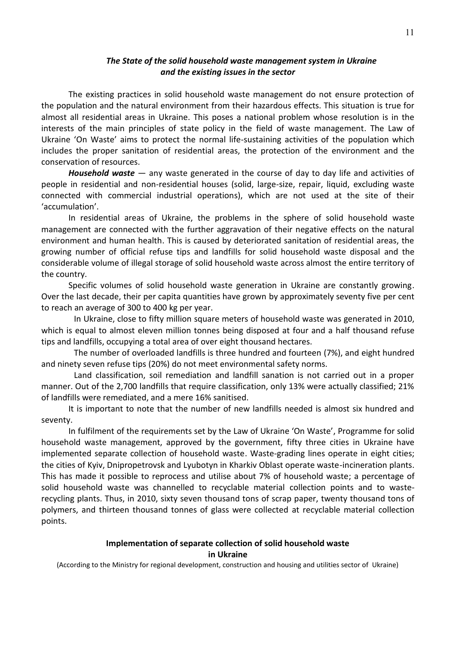#### *The State of the solid household waste management system in Ukraine and the existing issues in the sector*

The existing practices in solid household waste management do not ensure protection of the population and the natural environment from their hazardous effects. This situation is true for almost all residential areas in Ukraine. This poses a national problem whose resolution is in the interests of the main principles of state policy in the field of waste management. The Law of Ukraine 'On Waste' aims to protect the normal life-sustaining activities of the population which includes the proper sanitation of residential areas, the protection of the environment and the conservation of resources.

*Household waste* — any waste generated in the course of day to day life and activities of people in residential and non-residential houses (solid, large-size, repair, liquid, excluding waste connected with commercial industrial operations), which are not used at the site of their 'accumulation'.

In residential areas of Ukraine, the problems in the sphere of solid household waste management are connected with the further aggravation of their negative effects on the natural environment and human health. This is caused by deteriorated sanitation of residential areas, the growing number of official refuse tips and landfills for solid household waste disposal and the considerable volume of illegal storage of solid household waste across almost the entire territory of the country.

Specific volumes of solid household waste generation in Ukraine are constantly growing. Over the last decade, their per capita quantities have grown by approximately seventy five per cent to reach an average of 300 to 400 kg per year.

In Ukraine, close to fifty million square meters of household waste was generated in 2010, which is equal to almost eleven million tonnes being disposed at four and a half thousand refuse tips and landfills, occupying a total area of over eight thousand hectares.

The number of overloaded landfills is three hundred and fourteen (7%), and eight hundred and ninety seven refuse tips (20%) do not meet environmental safety norms.

Land classification, soil remediation and landfill sanation is not carried out in a proper manner. Out of the 2,700 landfills that require classification, only 13% were actually classified; 21% of landfills were remediated, and a mere 16% sanitised.

It is important to note that the number of new landfills needed is almost six hundred and seventy.

In fulfilment of the requirements set by the Law of Ukraine 'On Waste', Programme for solid household waste management, approved by the government, fifty three cities in Ukraine have implemented separate collection of household waste. Waste-grading lines operate in eight cities; the cities of Kyiv, Dnipropetrovsk and Lyubotyn in Kharkiv Oblast operate waste-incineration plants. This has made it possible to reprocess and utilise about 7% of household waste; a percentage of solid household waste was channelled to recyclable material collection points and to waste recycling plants. Thus, in 2010, sixty seven thousand tons of scrap paper, twenty thousand tons of polymers, and thirteen thousand tonnes of glass were collected at recyclable material collection points.

#### **Implementation of separate collection of solid household waste in Ukraine**

(According to the Ministry for regional development, construction and housing and utilities sector of Ukraine)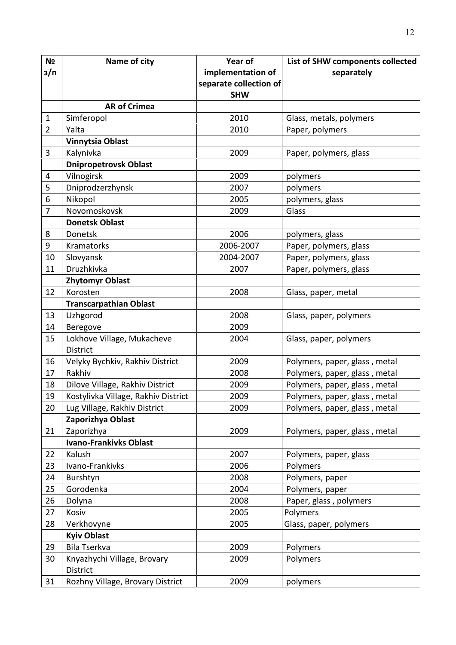| N <sub>2</sub> | Name of city                        | Year of                | List of SHW components collected |
|----------------|-------------------------------------|------------------------|----------------------------------|
| $3/\Pi$        |                                     | implementation of      | separately                       |
|                |                                     | separate collection of |                                  |
|                |                                     | <b>SHW</b>             |                                  |
|                | <b>AR of Crimea</b>                 |                        |                                  |
| 1              | Simferopol                          | 2010                   | Glass, metals, polymers          |
| $\overline{2}$ | Yalta                               | 2010                   | Paper, polymers                  |
|                | Vinnytsia Oblast                    |                        |                                  |
| 3              | Kalynivka                           | 2009                   | Paper, polymers, glass           |
|                | <b>Dnipropetrovsk Oblast</b>        |                        |                                  |
| 4              | Vilnogirsk                          | 2009                   | polymers                         |
| 5              | Dniprodzerzhynsk                    | 2007                   | polymers                         |
| 6              | Nikopol                             | 2005                   | polymers, glass                  |
| $\overline{7}$ | Novomoskovsk                        | 2009                   | Glass                            |
|                | <b>Donetsk Oblast</b>               |                        |                                  |
| 8              | Donetsk                             | 2006                   | polymers, glass                  |
| 9              | Kramatorks                          | 2006-2007              | Paper, polymers, glass           |
| 10             | Slovyansk                           | 2004-2007              | Paper, polymers, glass           |
| 11             | Druzhkivka                          | 2007                   | Paper, polymers, glass           |
|                | <b>Zhytomyr Oblast</b>              |                        |                                  |
| 12             | Korosten                            | 2008                   | Glass, paper, metal              |
|                | <b>Transcarpathian Oblast</b>       |                        |                                  |
| 13             | Uzhgorod                            | 2008                   | Glass, paper, polymers           |
| 14             | Beregove                            | 2009                   |                                  |
| 15             | Lokhove Village, Mukacheve          | 2004                   | Glass, paper, polymers           |
|                | <b>District</b>                     |                        |                                  |
| 16             | Velyky Bychkiv, Rakhiv District     | 2009                   | Polymers, paper, glass, metal    |
| 17             | Rakhiv                              | 2008                   | Polymers, paper, glass, metal    |
| 18             | Dilove Village, Rakhiv District     | 2009                   | Polymers, paper, glass, metal    |
| 19             | Kostylivka Village, Rakhiv District | 2009                   | Polymers, paper, glass, metal    |
| 20             | Lug Village, Rakhiv District        | 2009                   | Polymers, paper, glass, metal    |
|                | Zaporizhya Oblast                   |                        |                                  |
| 21             | Zaporizhya                          | 2009                   | Polymers, paper, glass, metal    |
|                | <b>Ivano-Frankivks Oblast</b>       |                        |                                  |
| 22             | Kalush                              | 2007                   | Polymers, paper, glass           |
| 23             | Ivano-Frankivks                     | 2006                   | Polymers                         |
| 24             | Burshtyn                            | 2008                   | Polymers, paper                  |
| 25             | Gorodenka                           | 2004                   | Polymers, paper                  |
| 26             | Dolyna                              | 2008                   | Paper, glass, polymers           |
| 27             | Kosiv                               | 2005                   | Polymers                         |
| 28             | Verkhovyne                          | 2005                   | Glass, paper, polymers           |
|                | <b>Kyiv Oblast</b>                  |                        |                                  |
| 29             | Bila Tserkva                        | 2009                   | Polymers                         |
| 30             | Knyazhychi Village, Brovary         | 2009                   | Polymers                         |
|                | District                            |                        |                                  |
| 31             | Rozhny Village, Brovary District    | 2009                   | polymers                         |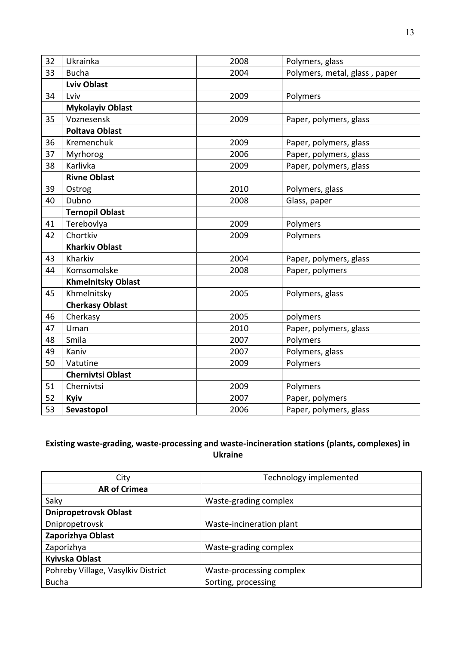| 32 | Ukrainka                  | 2008 | Polymers, glass               |
|----|---------------------------|------|-------------------------------|
| 33 | <b>Bucha</b>              | 2004 | Polymers, metal, glass, paper |
|    | <b>Lviv Oblast</b>        |      |                               |
| 34 | Lviv                      | 2009 | Polymers                      |
|    | <b>Mykolayiv Oblast</b>   |      |                               |
| 35 | Voznesensk                | 2009 | Paper, polymers, glass        |
|    | <b>Poltava Oblast</b>     |      |                               |
| 36 | Kremenchuk                | 2009 | Paper, polymers, glass        |
| 37 | Myrhorog                  | 2006 | Paper, polymers, glass        |
| 38 | Karlivka                  | 2009 | Paper, polymers, glass        |
|    | <b>Rivne Oblast</b>       |      |                               |
| 39 | Ostrog                    | 2010 | Polymers, glass               |
| 40 | Dubno                     | 2008 | Glass, paper                  |
|    | <b>Ternopil Oblast</b>    |      |                               |
| 41 | Terebovlya                | 2009 | Polymers                      |
| 42 | Chortkiv                  | 2009 | Polymers                      |
|    | <b>Kharkiv Oblast</b>     |      |                               |
| 43 | Kharkiv                   | 2004 | Paper, polymers, glass        |
| 44 | Komsomolske               | 2008 | Paper, polymers               |
|    | <b>Khmelnitsky Oblast</b> |      |                               |
| 45 | Khmelnitsky               | 2005 | Polymers, glass               |
|    | <b>Cherkasy Oblast</b>    |      |                               |
| 46 | Cherkasy                  | 2005 | polymers                      |
| 47 | Uman                      | 2010 | Paper, polymers, glass        |
| 48 | Smila                     | 2007 | Polymers                      |
| 49 | Kaniv                     | 2007 | Polymers, glass               |
| 50 | Vatutine                  | 2009 | Polymers                      |
|    | <b>Chernivtsi Oblast</b>  |      |                               |
| 51 | Chernivtsi                | 2009 | Polymers                      |
| 52 | Kyiv                      | 2007 | Paper, polymers               |
| 53 | Sevastopol                | 2006 | Paper, polymers, glass        |

# **Existing waste-grading, waste-processing and waste-incineration stations (plants, complexes) in Ukraine**

| City                               | Technology implemented   |
|------------------------------------|--------------------------|
| <b>AR of Crimea</b>                |                          |
| Saky                               | Waste-grading complex    |
| <b>Dnipropetrovsk Oblast</b>       |                          |
| Dnipropetrovsk                     | Waste-incineration plant |
| Zaporizhya Oblast                  |                          |
| Zaporizhya                         | Waste-grading complex    |
| Kyivska Oblast                     |                          |
| Pohreby Village, Vasylkiv District | Waste-processing complex |
| <b>Bucha</b>                       | Sorting, processing      |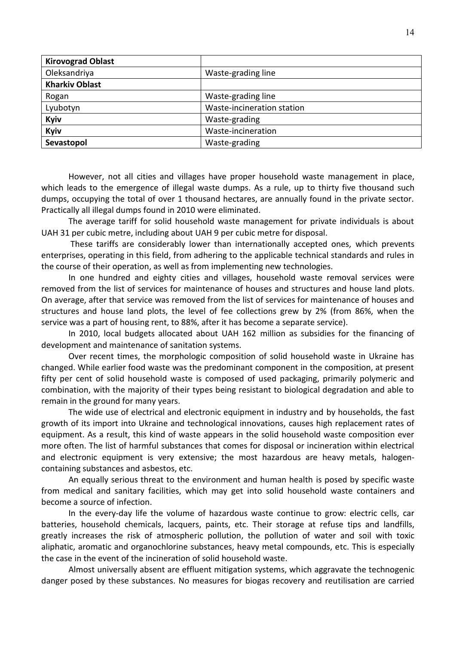| <b>Kirovograd Oblast</b> |                            |  |
|--------------------------|----------------------------|--|
| Oleksandriya             | Waste-grading line         |  |
| <b>Kharkiv Oblast</b>    |                            |  |
| Rogan                    | Waste-grading line         |  |
| Lyubotyn                 | Waste-incineration station |  |
| Kyiv                     | Waste-grading              |  |
| Kyiv                     | Waste-incineration         |  |
| Sevastopol               | Waste-grading              |  |

However, not all cities and villages have proper household waste management in place, which leads to the emergence of illegal waste dumps. As a rule, up to thirty five thousand such dumps, occupying the total of over 1 thousand hectares, are annually found in the private sector. Practically all illegal dumps found in 2010 were eliminated.

The average tariff for solid household waste management for private individuals is about UAH 31 per cubic metre, including about UAH 9 per cubic metre for disposal.

These tariffs are considerably lower than internationally accepted ones, which prevents enterprises, operating in this field, from adhering to the applicable technical standards and rules in the course of their operation, as well as from implementing new technologies.

In one hundred and eighty cities and villages, household waste removal services were removed from the list of services for maintenance of houses and structures and house land plots. On average, after that service was removed from the list of services for maintenance of houses and structures and house land plots, the level of fee collections grew by 2% (from 86%, when the service was a part of housing rent, to 88%, after it has become a separate service).

In 2010, local budgets allocated about UAH 162 million as subsidies for the financing of development and maintenance of sanitation systems.

Over recent times, the morphologic composition of solid household waste in Ukraine has changed. While earlier food waste was the predominant component in the composition, at present fifty per cent of solid household waste is composed of used packaging, primarily polymeric and combination, with the majority of their types being resistant to biological degradation and able to remain in the ground for many years.

The wide use of electrical and electronic equipment in industry and by households, the fast growth of its import into Ukraine and technological innovations, causes high replacement rates of equipment. As a result, this kind of waste appears in the solid household waste composition ever more often. The list of harmful substances that comes for disposal or incineration within electrical and electronic equipment is very extensive; the most hazardous are heavy metals, halogen containing substances and asbestos, etc.

An equally serious threat to the environment and human health is posed by specific waste from medical and sanitary facilities, which may get into solid household waste containers and become a source of infection.

In the every-day life the volume of hazardous waste continue to grow: electric cells, car batteries, household chemicals, lacquers, paints, etc. Their storage at refuse tips and landfills, greatly increases the risk of atmospheric pollution, the pollution of water and soil with toxic aliphatic, aromatic and organochlorine substances, heavy metal compounds, etc. This is especially the case in the event of the incineration of solid household waste.

Almost universally absent are effluent mitigation systems, which aggravate the technogenic danger posed by these substances. No measures for biogas recovery and reutilisation are carried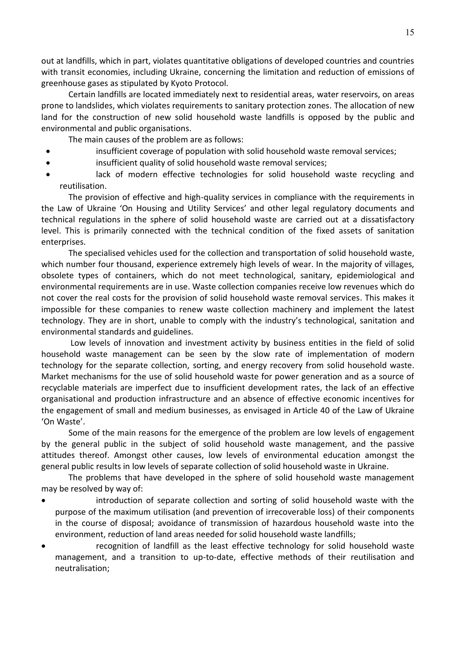out at landfills, which in part, violates quantitative obligations of developed countries and countries with transit economies, including Ukraine, concerning the limitation and reduction of emissions of greenhouse gases as stipulated by Kyoto Protocol.

Certain landfills are located immediately next to residential areas, water reservoirs, on areas prone to landslides, which violates requirements to sanitary protection zones. The allocation of new land for the construction of new solid household waste landfills is opposed by the public and environmental and public organisations.

The main causes of the problem are as follows:

- insufficient coverage of population with solid household waste removal services;
- insufficient quality of solid household waste removal services;
- lack of modern effective technologies for solid household waste recycling and reutilisation.

The provision of effective and high-quality services in compliance with the requirements in the Law of Ukraine 'On Housing and Utility Services' and other legal regulatory documents and technical regulations in the sphere of solid household waste are carried out at a dissatisfactory level. This is primarily connected with the technical condition of the fixed assets of sanitation enterprises.

The specialised vehicles used for the collection and transportation of solid household waste, which number four thousand, experience extremely high levels of wear. In the majority of villages, obsolete types of containers, which do not meet technological, sanitary, epidemiological and environmental requirements are in use. Waste collection companies receive low revenues which do not cover the real costs for the provision of solid household waste removal services. This makes it impossible for these companies to renew waste collection machinery and implement the latest technology. They are in short, unable to comply with the industry's technological, sanitation and environmental standards and guidelines.

Low levels of innovation and investment activity by business entities in the field of solid household waste management can be seen by the slow rate of implementation of modern technology for the separate collection, sorting, and energy recovery from solid household waste. Market mechanisms for the use of solid household waste for power generation and as a source of recyclable materials are imperfect due to insufficient development rates, the lack of an effective organisational and production infrastructure and an absence of effective economic incentives for the engagement of small and medium businesses, as envisaged in Article 40 of the Law of Ukraine 'On Waste'.

Some of the main reasons for the emergence of the problem are low levels of engagement by the general public in the subject of solid household waste management, and the passive attitudes thereof. Amongst other causes, low levels of environmental education amongst the general public results in low levels of separate collection of solid household waste in Ukraine.

The problems that have developed in the sphere of solid household waste management may be resolved by way of:

- introduction of separate collection and sorting of solid household waste with the purpose of the maximum utilisation (and prevention of irrecoverable loss) of their components in the course of disposal; avoidance of transmission of hazardous household waste into the environment, reduction of land areas needed for solid household waste landfills;
- recognition of landfill as the least effective technology for solid household waste management, and a transition to up-to-date, effective methods of their reutilisation and neutralisation;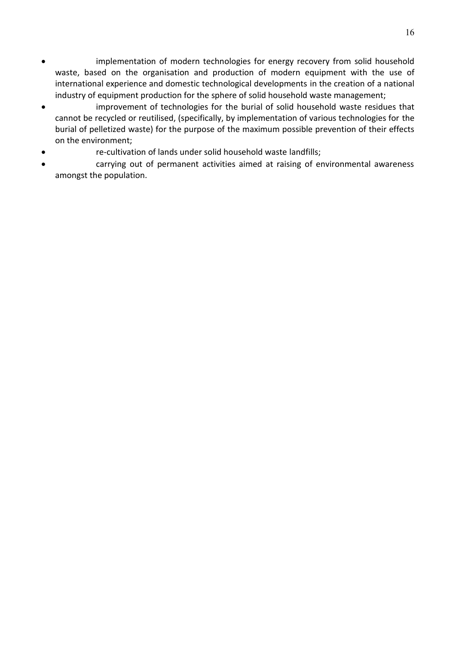- implementation of modern technologies for energy recovery from solid household waste, based on the organisation and production of modern equipment with the use of international experience and domestic technological developments in the creation of a national industry of equipment production for the sphere of solid household waste management;
- improvement of technologies for the burial of solid household waste residues that cannot be recycled or reutilised, (specifically, by implementation of various technologies for the burial of pelletized waste) for the purpose of the maximum possible prevention of their effects on the environment;
- re-cultivation of lands under solid household waste landfills;
- carrying out of permanent activities aimed at raising of environmental awareness amongst the population.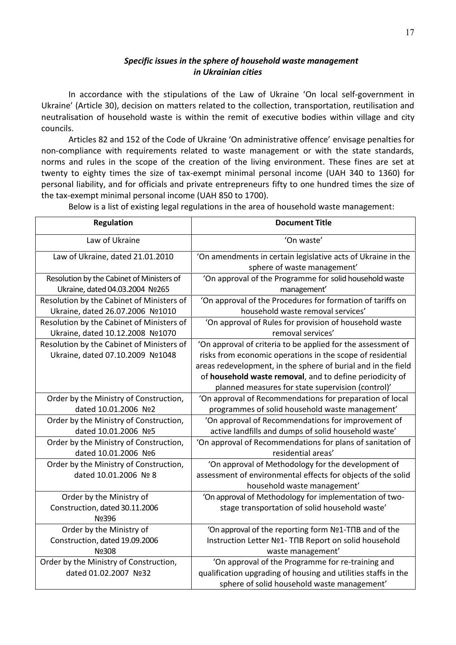### *Specific issues in the sphere of household waste management in Ukrainian cities*

In accordance with the stipulations of the Law of Ukraine 'On local self-government in Ukraine' (Article 30), decision on matters related to the collection, transportation, reutilisation and neutralisation of household waste is within the remit of executive bodies within village and city councils.

Articles 82 and 152 of the Code of Ukraine 'On administrative offence' envisage penalties for non-compliance with requirements related to waste management or with the state standards, norms and rules in the scope of the creation of the living environment. These fines are set at twenty to eighty times the size of tax-exempt minimal personal income (UAH 340 to 1360) for personal liability, and for officials and private entrepreneurs fifty to one hundred times the size of the tax-exempt minimal personal income (UAH 850 to 1700).

Below is a list of existing legal regulations in the area of household waste management:

| <b>Regulation</b>                                                             | <b>Document Title</b>                                                                                                                                                                                                                                                                                        |
|-------------------------------------------------------------------------------|--------------------------------------------------------------------------------------------------------------------------------------------------------------------------------------------------------------------------------------------------------------------------------------------------------------|
| Law of Ukraine                                                                | 'On waste'                                                                                                                                                                                                                                                                                                   |
| Law of Ukraine, dated 21.01.2010                                              | 'On amendments in certain legislative acts of Ukraine in the<br>sphere of waste management'                                                                                                                                                                                                                  |
| Resolution by the Cabinet of Ministers of                                     | 'On approval of the Programme for solid household waste                                                                                                                                                                                                                                                      |
| Ukraine, dated 04.03.2004 Nº265                                               | management'                                                                                                                                                                                                                                                                                                  |
| Resolution by the Cabinet of Ministers of                                     | 'On approval of the Procedures for formation of tariffs on                                                                                                                                                                                                                                                   |
| Ukraine, dated 26.07.2006 Nº1010                                              | household waste removal services'                                                                                                                                                                                                                                                                            |
| Resolution by the Cabinet of Ministers of                                     | 'On approval of Rules for provision of household waste                                                                                                                                                                                                                                                       |
| Ukraine, dated 10.12.2008 Nº1070                                              | removal services'                                                                                                                                                                                                                                                                                            |
| Resolution by the Cabinet of Ministers of<br>Ukraine, dated 07.10.2009 Nº1048 | 'On approval of criteria to be applied for the assessment of<br>risks from economic operations in the scope of residential<br>areas redevelopment, in the sphere of burial and in the field<br>of household waste removal, and to define periodicity of<br>planned measures for state supervision (control)' |
| Order by the Ministry of Construction,                                        | 'On approval of Recommendations for preparation of local                                                                                                                                                                                                                                                     |
| dated 10.01.2006 No2                                                          | programmes of solid household waste management'                                                                                                                                                                                                                                                              |
| Order by the Ministry of Construction,                                        | 'On approval of Recommendations for improvement of                                                                                                                                                                                                                                                           |
| dated 10.01.2006 Nº5                                                          | active landfills and dumps of solid household waste'                                                                                                                                                                                                                                                         |
| Order by the Ministry of Construction,                                        | 'On approval of Recommendations for plans of sanitation of                                                                                                                                                                                                                                                   |
| dated 10.01.2006 Nº6                                                          | residential areas'                                                                                                                                                                                                                                                                                           |
| Order by the Ministry of Construction,<br>dated 10.01.2006 Nº 8               | 'On approval of Methodology for the development of<br>assessment of environmental effects for objects of the solid<br>household waste management'                                                                                                                                                            |
| Order by the Ministry of<br>Construction, dated 30.11.2006<br>No396           | 'On approval of Methodology for implementation of two-<br>stage transportation of solid household waste'                                                                                                                                                                                                     |
| Order by the Ministry of                                                      | 'On approval of the reporting form Nº1-TNB and of the                                                                                                                                                                                                                                                        |
| Construction, dated 19.09.2006                                                | Instruction Letter Nº1- TΠB Report on solid household                                                                                                                                                                                                                                                        |
| No308                                                                         | waste management'                                                                                                                                                                                                                                                                                            |
| Order by the Ministry of Construction,<br>dated 01.02.2007 Nº32               | 'On approval of the Programme for re-training and<br>qualification upgrading of housing and utilities staffs in the<br>sphere of solid household waste management'                                                                                                                                           |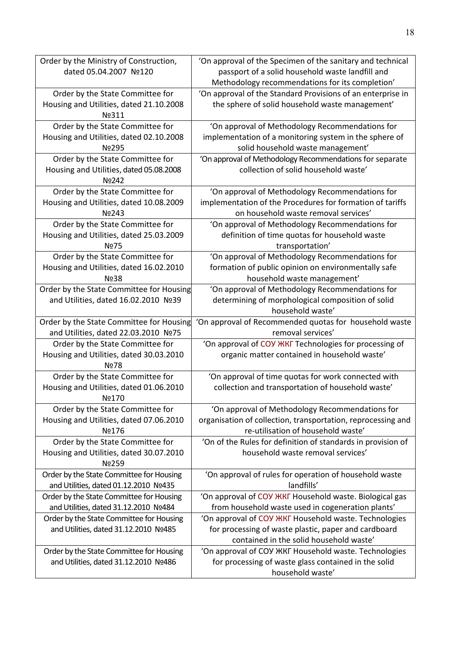| Order by the Ministry of Construction,<br>dated 05.04.2007 No120                                | 'On approval of the Specimen of the sanitary and technical<br>passport of a solid household waste landfill and<br>Methodology recommendations for its completion' |
|-------------------------------------------------------------------------------------------------|-------------------------------------------------------------------------------------------------------------------------------------------------------------------|
| Order by the State Committee for<br>Housing and Utilities, dated 21.10.2008<br>No311            | 'On approval of the Standard Provisions of an enterprise in<br>the sphere of solid household waste management'                                                    |
| Order by the State Committee for<br>Housing and Utilities, dated 02.10.2008<br>No295            | 'On approval of Methodology Recommendations for<br>implementation of a monitoring system in the sphere of<br>solid household waste management'                    |
| Order by the State Committee for<br>Housing and Utilities, dated 05.08.2008<br>No242            | 'On approval of Methodology Recommendations for separate<br>collection of solid household waste'                                                                  |
| Order by the State Committee for<br>Housing and Utilities, dated 10.08.2009<br>No243            | 'On approval of Methodology Recommendations for<br>implementation of the Procedures for formation of tariffs<br>on household waste removal services'              |
| Order by the State Committee for<br>Housing and Utilities, dated 25.03.2009<br>No75             | 'On approval of Methodology Recommendations for<br>definition of time quotas for household waste<br>transportation'                                               |
| Order by the State Committee for<br>Housing and Utilities, dated 16.02.2010<br>No <sub>28</sub> | 'On approval of Methodology Recommendations for<br>formation of public opinion on environmentally safe<br>household waste management'                             |
| Order by the State Committee for Housing<br>and Utilities, dated 16.02.2010 Nº39                | 'On approval of Methodology Recommendations for<br>determining of morphological composition of solid<br>household waste'                                          |
| Order by the State Committee for Housing<br>and Utilities, dated 22.03.2010 Nº75                | 'On approval of Recommended quotas for household waste<br>removal services'                                                                                       |
| Order by the State Committee for<br>Housing and Utilities, dated 30.03.2010<br>No78             | 'On approval of COY <i>KKF</i> Technologies for processing of<br>organic matter contained in household waste'                                                     |
| Order by the State Committee for<br>Housing and Utilities, dated 01.06.2010<br>Nº170            | 'On approval of time quotas for work connected with<br>collection and transportation of household waste'                                                          |
| Order by the State Committee for<br>Housing and Utilities, dated 07.06.2010<br>No176            | 'On approval of Methodology Recommendations for<br>organisation of collection, transportation, reprocessing and<br>re-utilisation of household waste'             |
| Order by the State Committee for<br>Housing and Utilities, dated 30.07.2010<br>No259            | 'On of the Rules for definition of standards in provision of<br>household waste removal services'                                                                 |
| Order by the State Committee for Housing<br>and Utilities, dated 01.12.2010 Nº435               | 'On approval of rules for operation of household waste<br>landfills'                                                                                              |
| Order by the State Committee for Housing<br>and Utilities, dated 31.12.2010 Nº484               | 'On approval of COV <i>XKF</i> Household waste. Biological gas<br>from household waste used in cogeneration plants'                                               |
| Order by the State Committee for Housing<br>and Utilities, dated 31.12.2010 No485               | 'On approval of COV <i>XKF</i> Household waste. Technologies<br>for processing of waste plastic, paper and cardboard<br>contained in the solid household waste'   |
| Order by the State Committee for Housing<br>and Utilities, dated 31.12.2010 Nº486               | 'On approval of COV WKF Household waste. Technologies<br>for processing of waste glass contained in the solid<br>household waste'                                 |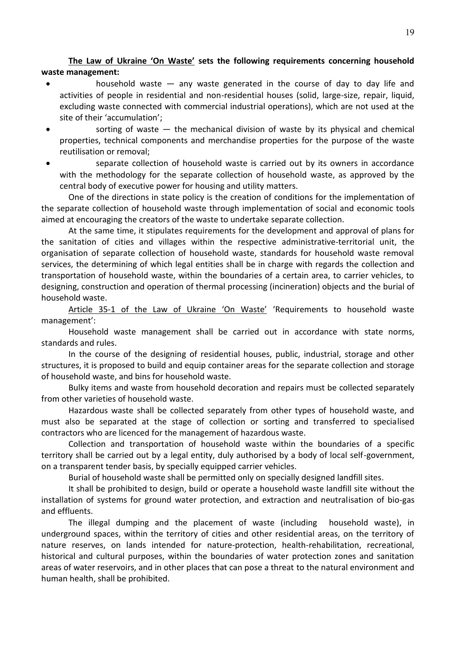#### **The Law of Ukraine 'On Waste' sets the following requirements concerning household waste management:**

- household waste any waste generated in the course of day to day life and activities of people in residential and non-residential houses (solid, large-size, repair, liquid, excluding waste connected with commercial industrial operations), which are not used at the site of their 'accumulation';
- sorting of waste  $-$  the mechanical division of waste by its physical and chemical properties, technical components and merchandise properties for the purpose of the waste reutilisation or removal;
- separate collection of household waste is carried out by its owners in accordance with the methodology for the separate collection of household waste, as approved by the central body of executive power for housing and utility matters.

One of the directions in state policy is the creation of conditions for the implementation of the separate collection of household waste through implementation of social and economic tools aimed at encouraging the creators of the waste to undertake separate collection.

At the same time, it stipulates requirements for the development and approval of plans for the sanitation of cities and villages within the respective administrative-territorial unit, the organisation of separate collection of household waste, standards for household waste removal services, the determining of which legal entities shall be in charge with regards the collection and transportation of household waste, within the boundaries of a certain area, to carrier vehicles, to designing, construction and operation of thermal processing (incineration) objects and the burial of household waste.

Article 35-1 of the Law of Ukraine 'On Waste' 'Requirements to household waste management':

Household waste management shall be carried out in accordance with state norms, standards and rules.

In the course of the designing of residential houses, public, industrial, storage and other structures, it is proposed to build and equip container areas for the separate collection and storage of household waste, and bins for household waste.

Bulky items and waste from household decoration and repairs must be collected separately from other varieties of household waste.

Hazardous waste shall be collected separately from other types of household waste, and must also be separated at the stage of collection or sorting and transferred to specialised contractors who are licenced for the management of hazardous waste.

Collection and transportation of household waste within the boundaries of a specific territory shall be carried out by a legal entity, duly authorised by a body of local self-government, on a transparent tender basis, by specially equipped carrier vehicles.

Burial of household waste shall be permitted only on specially designed landfill sites.

It shall be prohibited to design, build or operate a household waste landfill site without the installation of systems for ground water protection, and extraction and neutralisation of bio-gas and effluents.

The illegal dumping and the placement of waste (including household waste), in underground spaces, within the territory of cities and other residential areas, on the territory of nature reserves, on lands intended for nature-protection, health-rehabilitation, recreational, historical and cultural purposes, within the boundaries of water protection zones and sanitation areas of water reservoirs, and in other places that can pose a threat to the natural environment and human health, shall be prohibited.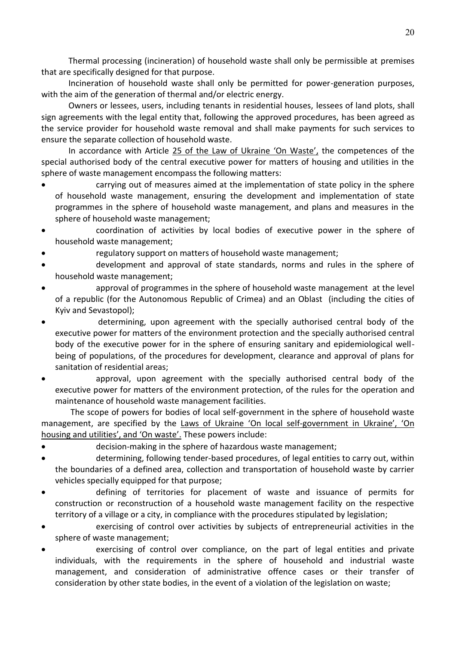Thermal processing (incineration) of household waste shall only be permissible at premises that are specifically designed for that purpose.

Incineration of household waste shall only be permitted for power-generation purposes, with the aim of the generation of thermal and/or electric energy.

Owners or lessees, users, including tenants in residential houses, lessees of land plots, shall sign agreements with the legal entity that, following the approved procedures, has been agreed as the service provider for household waste removal and shall make payments for such services to ensure the separate collection of household waste.

In accordance with Article 25 of the Law of Ukraine 'On Waste', the competences of the special authorised body of the central executive power for matters of housing and utilities in the sphere of waste management encompass the following matters:

- carrying out of measures aimed at the implementation of state policy in the sphere of household waste management, ensuring the development and implementation of state programmes in the sphere of household waste management, and plans and measures in the sphere of household waste management;
- coordination of activities by local bodies of executive power in the sphere of household waste management;
- regulatory support on matters of household waste management;
- development and approval of state standards, norms and rules in the sphere of household waste management;
- approval of programmes in the sphere of household waste management at the level of a republic (for the Autonomous Republic of Crimea) and an Oblast (including the cities of Kyiv and Sevastopol);
- determining, upon agreement with the specially authorised central body of the executive power for matters of the environment protection and the specially authorised central body of the executive power for in the sphere of ensuring sanitary and epidemiological well being of populations, of the procedures for development, clearance and approval of plans for sanitation of residential areas;
- approval, upon agreement with the specially authorised central body of the executive power for matters of the environment protection, of the rules for the operation and maintenance of household waste management facilities.

The scope of powers for bodies of local self-government in the sphere of household waste management, are specified by the Laws of Ukraine 'On local self-government in Ukraine', 'On housing and utilities', and 'On waste'. These powers include:

- decision-making in the sphere of hazardous waste management;
- determining, following tender-based procedures, of legal entities to carry out, within the boundaries of a defined area, collection and transportation of household waste by carrier vehicles specially equipped for that purpose;
- defining of territories for placement of waste and issuance of permits for construction or reconstruction of a household waste management facility on the respective territory of a village or a city, in compliance with the procedures stipulated by legislation;
- exercising of control over activities by subjects of entrepreneurial activities in the sphere of waste management;
- exercising of control over compliance, on the part of legal entities and private individuals, with the requirements in the sphere of household and industrial waste management, and consideration of administrative offence cases or their transfer of consideration by other state bodies, in the event of a violation of the legislation on waste;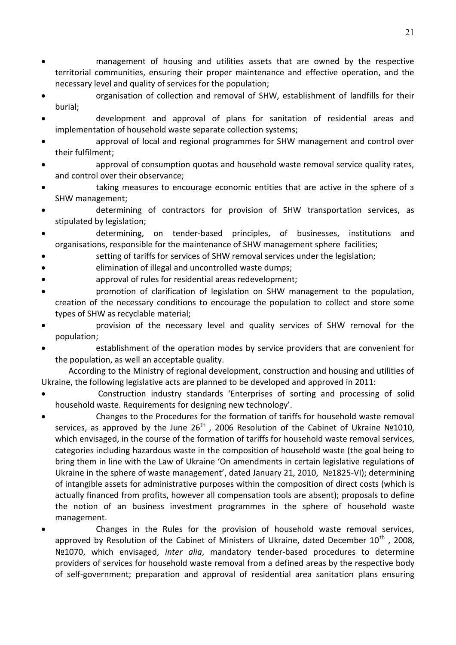- management of housing and utilities assets that are owned by the respective territorial communities, ensuring their proper maintenance and effective operation, and the necessary level and quality of services for the population;
- organisation of collection and removal of SHW, establishment of landfills for their burial;
- development and approval of plans for sanitation of residential areas and implementation of household waste separate collection systems;
- approval of local and regional programmes for SHW management and control over their fulfilment;
- approval of consumption quotas and household waste removal service quality rates, and control over their observance;
- taking measures to encourage economic entities that are active in the sphere of з SHW management;
- determining of contractors for provision of SHW transportation services, as stipulated by legislation;
- determining, on tender-based principles, of businesses, institutions and organisations, responsible for the maintenance of SHW management sphere facilities;
- setting of tariffs for services of SHW removal services under the legislation;
- elimination of illegal and uncontrolled waste dumps;
- approval of rules for residential areas redevelopment;
- promotion of clarification of legislation on SHW management to the population, creation of the necessary conditions to encourage the population to collect and store some types of SHW as recyclable material;
- provision of the necessary level and quality services of SHW removal for the population;
- establishment of the operation modes by service providers that are convenient for the population, as well an acceptable quality.

According to the Ministry of regional development, construction and housing and utilities of Ukraine, the following legislative acts are planned to be developed and approved in 2011:

- Construction industry standards 'Enterprises of sorting and processing of solid household waste. Requirements for designing new technology'.
- Changes to the Procedures for the formation of tariffs for household waste removal services, as approved by the June  $26^{th}$ , 2006 Resolution of the Cabinet of Ukraine Nº1010, which envisaged, in the course of the formation of tariffs for household waste removal services, categories including hazardous waste in the composition of household waste (the goal being to bring them in line with the Law of Ukraine 'On amendments in certain legislative regulations of Ukraine in the sphere of waste management', dated January 21, 2010, №1825-VI); determining of intangible assets for administrative purposes within the composition of direct costs (which is actually financed from profits, however all compensation tools are absent); proposals to define the notion of an business investment programmes in the sphere of household waste management.
- Changes in the Rules for the provision of household waste removal services, approved by Resolution of the Cabinet of Ministers of Ukraine, dated December  $10^{th}$ , 2008, №1070, which envisaged, *inter alia*, mandatory tender-based procedures to determine providers of services for household waste removal from a defined areas by the respective body of self-government; preparation and approval of residential area sanitation plans ensuring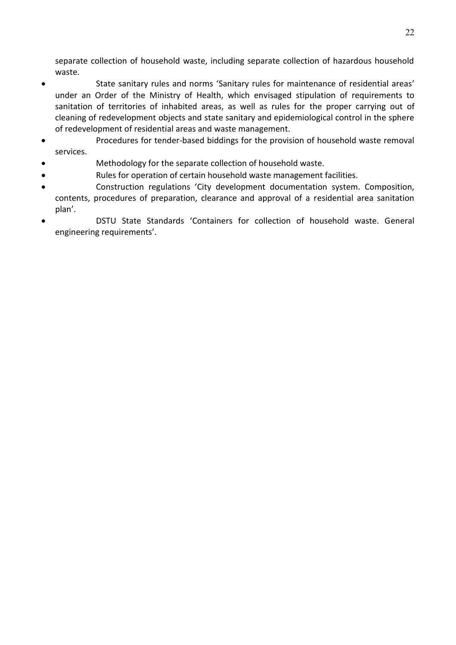separate collection of household waste, including separate collection of hazardous household waste.

- State sanitary rules and norms 'Sanitary rules for maintenance of residential areas' under an Order of the Ministry of Health, which envisaged stipulation of requirements to sanitation of territories of inhabited areas, as well as rules for the proper carrying out of cleaning of redevelopment objects and state sanitary and epidemiological control in the sphere of redevelopment of residential areas and waste management.
- Procedures for tender-based biddings for the provision of household waste removal services.
- Methodology for the separate collection of household waste.
- Rules for operation of certain household waste management facilities.
- Construction regulations 'City development documentation system. Composition, contents, procedures of preparation, clearance and approval of a residential area sanitation plan'.
- DSTU State Standards 'Containers for collection of household waste. General engineering requirements'.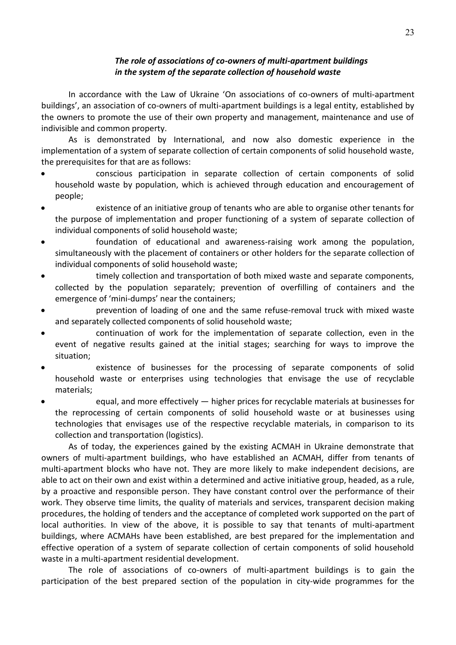### *The role of associations of co-owners of multi-apartment buildings in the system of the separate collection of household waste*

In accordance with the Law of Ukraine 'On associations of co-owners of multi-apartment buildings', an association of co-owners of multi-apartment buildings is a legal entity, established by the owners to promote the use of their own property and management, maintenance and use of indivisible and common property.

As is demonstrated by International, and now also domestic experience in the implementation of a system of separate collection of certain components of solid household waste, the prerequisites for that are as follows:

- conscious participation in separate collection of certain components of solid household waste by population, which is achieved through education and encouragement of people;
- existence of an initiative group of tenants who are able to organise other tenants for the purpose of implementation and proper functioning of a system of separate collection of individual components of solid household waste;
- foundation of educational and awareness-raising work among the population, simultaneously with the placement of containers or other holders for the separate collection of individual components of solid household waste;
- timely collection and transportation of both mixed waste and separate components, collected by the population separately; prevention of overfilling of containers and the emergence of 'mini-dumps' near the containers;
- prevention of loading of one and the same refuse-removal truck with mixed waste and separately collected components of solid household waste;
- continuation of work for the implementation of separate collection, even in the event of negative results gained at the initial stages; searching for ways to improve the situation;
- existence of businesses for the processing of separate components of solid household waste or enterprises using technologies that envisage the use of recyclable materials;
- equal, and more effectively higher prices for recyclable materials at businesses for the reprocessing of certain components of solid household waste or at businesses using technologies that envisages use of the respective recyclable materials, in comparison to its collection and transportation (logistics).

As of today, the experiences gained by the existing ACMAH in Ukraine demonstrate that owners of multi-apartment buildings, who have established an ACMAH, differ from tenants of multi-apartment blocks who have not. They are more likely to make independent decisions, are able to act on their own and exist within a determined and active initiative group, headed, as a rule, by a proactive and responsible person. They have constant control over the performance of their work. They observe time limits, the quality of materials and services, transparent decision making procedures, the holding of tenders and the acceptance of completed work supported on the part of local authorities. In view of the above, it is possible to say that tenants of multi-apartment buildings, where ACMAHs have been established, are best prepared for the implementation and effective operation of a system of separate collection of certain components of solid household waste in a multi-apartment residential development.

The role of associations of co-owners of multi-apartment buildings is to gain the participation of the best prepared section of the population in city-wide programmes for the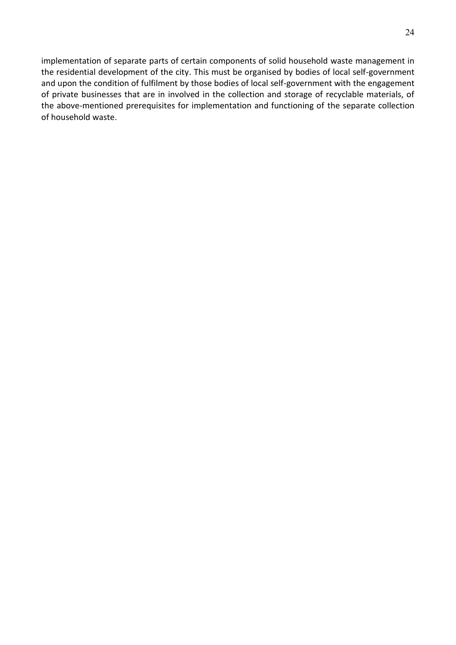implementation of separate parts of certain components of solid household waste management in the residential development of the city. This must be organised by bodies of local self-government and upon the condition of fulfilment by those bodies of local self-government with the engagement of private businesses that are in involved in the collection and storage of recyclable materials, of the above-mentioned prerequisites for implementation and functioning of the separate collection of household waste.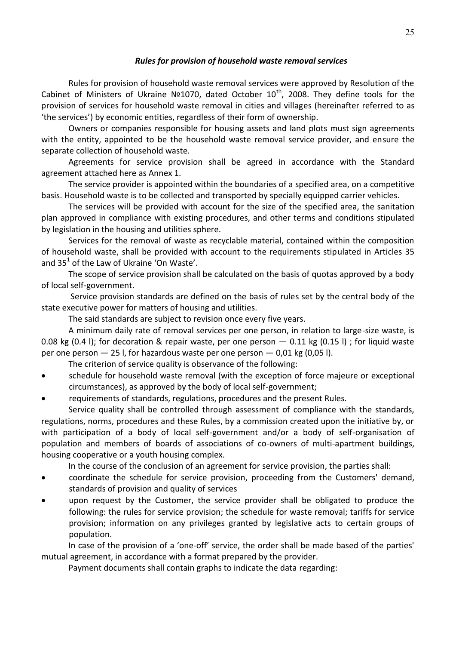#### *Rules for provision of household waste removal services*

Rules for provision of household waste removal services were approved by Resolution of the Cabinet of Ministers of Ukraine Nº1070, dated October 10<sup>th</sup>, 2008. They define tools for the provision of services for household waste removal in cities and villages (hereinafter referred to as 'the services') by economic entities, regardless of their form of ownership.

Owners or companies responsible for housing assets and land plots must sign agreements with the entity, appointed to be the household waste removal service provider, and ensure the separate collection of household waste.

Agreements for service provision shall be agreed in accordance with the Standard agreement attached here as Annex 1.

The service provider is appointed within the boundaries of a specified area, on a competitive basis. Household waste is to be collected and transported by specially equipped carrier vehicles.

The services will be provided with account for the size of the specified area, the sanitation plan approved in compliance with existing procedures, and other terms and conditions stipulated by legislation in the housing and utilities sphere.

Services for the removal of waste as recyclable material, contained within the composition of household waste, shall be provided with account to the requirements stipulated in Articles 35 and  $35<sup>1</sup>$  of the Law of Ukraine 'On Waste'.

The scope of service provision shall be calculated on the basis of quotas approved by a body of local self-government.

Service provision standards are defined on the basis of rules set by the central body of the state executive power for matters of housing and utilities.

The said standards are subject to revision once every five years.

A minimum daily rate of removal services per one person, in relation to large-size waste, is 0.08 kg (0.4 l); for decoration & repair waste, per one person  $-$  0.11 kg (0.15 l); for liquid waste per one person  $-25$  l, for hazardous waste per one person  $-0.01$  kg (0,05 l).

The criterion of service quality is observance of the following:

- schedule for household waste removal (with the exception of force majeure or exceptional circumstances), as approved by the body of local self-government;
- requirements of standards, regulations, procedures and the present Rules.

Service quality shall be controlled through assessment of compliance with the standards, regulations, norms, procedures and these Rules, by a commission created upon the initiative by, or with participation of a body of local self-government and/or a body of self-organisation of population and members of boards of associations of co-owners of multi-apartment buildings, housing cooperative or a youth housing complex.

In the course of the conclusion of an agreement for service provision, the parties shall:

- coordinate the schedule for service provision, proceeding from the Customers' demand, standards of provision and quality of services
- upon request by the Customer, the service provider shall be obligated to produce the following: the rules for service provision; the schedule for waste removal; tariffs for service provision; information on any privileges granted by legislative acts to certain groups of population.

In case of the provision of a 'one-off' service, the order shall be made based of the parties' mutual agreement, in accordance with a format prepared by the provider.

Payment documents shall contain graphs to indicate the data regarding: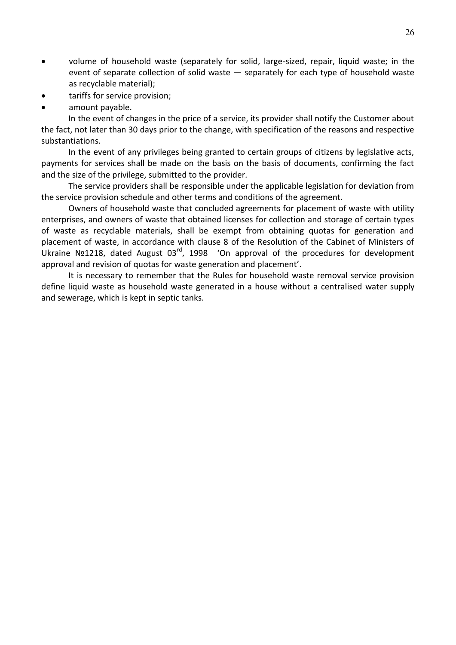- volume of household waste (separately for solid, large-sized, repair, liquid waste; in the event of separate collection of solid waste — separately for each type of household waste as recyclable material);
- tariffs for service provision;
- amount payable.

In the event of changes in the price of a service, its provider shall notify the Customer about the fact, not later than 30 days prior to the change, with specification of the reasons and respective substantiations.

In the event of any privileges being granted to certain groups of citizens by legislative acts, payments for services shall be made on the basis on the basis of documents, confirming the fact and the size of the privilege, submitted to the provider.

The service providers shall be responsible under the applicable legislation for deviation from the service provision schedule and other terms and conditions of the agreement.

Owners of household waste that concluded agreements for placement of waste with utility enterprises, and owners of waste that obtained licenses for collection and storage of certain types of waste as recyclable materials, shall be exempt from obtaining quotas for generation and placement of waste, in accordance with clause 8 of the Resolution of the Cabinet of Ministers of Ukraine Nº1218, dated August 03<sup>rd</sup>, 1998 'On approval of the procedures for development approval and revision of quotas for waste generation and placement'.

It is necessary to remember that the Rules for household waste removal service provision define liquid waste as household waste generated in a house without a centralised water supply and sewerage, which is kept in septic tanks.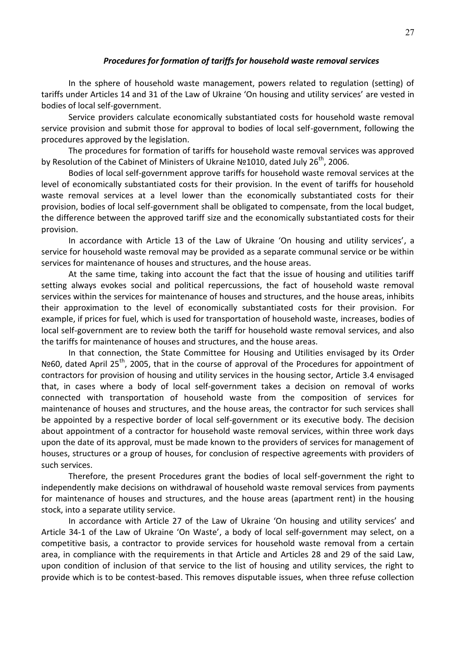#### *Procedures for formation of tariffs for household waste removal services*

In the sphere of household waste management, powers related to regulation (setting) of tariffs under Articles 14 and 31 of the Law of Ukraine 'On housing and utility services' are vested in bodies of local self-government.

Service providers calculate economically substantiated costs for household waste removal service provision and submit those for approval to bodies of local self-government, following the procedures approved by the legislation.

The procedures for formation of tariffs for household waste removal services was approved by Resolution of the Cabinet of Ministers of Ukraine №1010, dated July 26<sup>th</sup>, 2006.

Bodies of local self-government approve tariffs for household waste removal services at the level of economically substantiated costs for their provision. In the event of tariffs for household waste removal services at a level lower than the economically substantiated costs for their provision, bodies of local self-government shall be obligated to compensate, from the local budget, the difference between the approved tariff size and the economically substantiated costs for their provision.

In accordance with Article 13 of the Law of Ukraine 'On housing and utility services', a service for household waste removal may be provided as a separate communal service or be within services for maintenance of houses and structures, and the house areas.

At the same time, taking into account the fact that the issue of housing and utilities tariff setting always evokes social and political repercussions, the fact of household waste removal services within the services for maintenance of houses and structures, and the house areas, inhibits their approximation to the level of economically substantiated costs for their provision. For example, if prices for fuel, which is used for transportation of household waste, increases, bodies of local self-government are to review both the tariff for household waste removal services, and also the tariffs for maintenance of houses and structures, and the house areas.

In that connection, the State Committee for Housing and Utilities envisaged by its Order Nº60, dated April 25<sup>th</sup>, 2005, that in the course of approval of the Procedures for appointment of contractors for provision of housing and utility services in the housing sector, Article 3.4 envisaged that, in cases where a body of local self-government takes a decision on removal of works connected with transportation of household waste from the composition of services for maintenance of houses and structures, and the house areas, the contractor for such services shall be appointed by a respective border of local self-government or its executive body. The decision about appointment of a contractor for household waste removal services, within three work days upon the date of its approval, must be made known to the providers of services for management of houses, structures or a group of houses, for conclusion of respective agreements with providers of such services.

Therefore, the present Procedures grant the bodies of local self-government the right to independently make decisions on withdrawal of household waste removal services from payments for maintenance of houses and structures, and the house areas (apartment rent) in the housing stock, into a separate utility service.

In accordance with Article 27 of the Law of Ukraine 'On housing and utility services' and Article 34-1 of the Law of Ukraine 'On Waste', a body of local self-government may select, on a competitive basis, a contractor to provide services for household waste removal from a certain area, in compliance with the requirements in that Article and Articles 28 and 29 of the said Law, upon condition of inclusion of that service to the list of housing and utility services, the right to provide which is to be contest-based. This removes disputable issues, when three refuse collection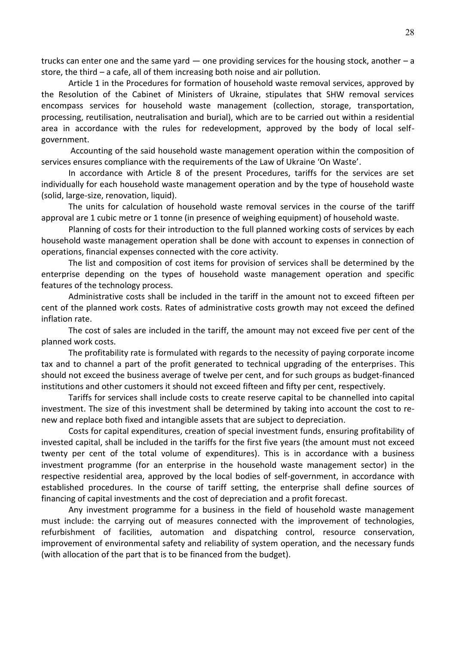trucks can enter one and the same yard — one providing services for the housing stock, another – a store, the third – a cafe, all of them increasing both noise and air pollution.

Article 1 in the Procedures for formation of household waste removal services, approved by the Resolution of the Cabinet of Ministers of Ukraine, stipulates that SHW removal services encompass services for household waste management (collection, storage, transportation, processing, reutilisation, neutralisation and burial), which are to be carried out within a residential area in accordance with the rules for redevelopment, approved by the body of local self government.

Accounting of the said household waste management operation within the composition of services ensures compliance with the requirements of the Law of Ukraine 'On Waste'.

In accordance with Article 8 of the present Procedures, tariffs for the services are set individually for each household waste management operation and by the type of household waste (solid, large-size, renovation, liquid).

The units for calculation of household waste removal services in the course of the tariff approval are 1 cubic metre or 1 tonne (in presence of weighing equipment) of household waste.

Planning of costs for their introduction to the full planned working costs of services by each household waste management operation shall be done with account to expenses in connection of operations, financial expenses connected with the core activity.

The list and composition of cost items for provision of services shall be determined by the enterprise depending on the types of household waste management operation and specific features of the technology process.

Administrative costs shall be included in the tariff in the amount not to exceed fifteen per cent of the planned work costs. Rates of administrative costs growth may not exceed the defined inflation rate.

The cost of sales are included in the tariff, the amount may not exceed five per cent of the planned work costs.

The profitability rate is formulated with regards to the necessity of paying corporate income tax and to channel a part of the profit generated to technical upgrading of the enterprises. This should not exceed the business average of twelve per cent, and for such groups as budget-financed institutions and other customers it should not exceed fifteen and fifty per cent, respectively.

Tariffs for services shall include costs to create reserve capital to be channelled into capital investment. The size of this investment shall be determined by taking into account the cost to re new and replace both fixed and intangible assets that are subject to depreciation.

Costs for capital expenditures, creation of special investment funds, ensuring profitability of invested capital, shall be included in the tariffs for the first five years (the amount must not exceed twenty per cent of the total volume of expenditures). This is in accordance with a business investment programme (for an enterprise in the household waste management sector) in the respective residential area, approved by the local bodies of self-government, in accordance with established procedures. In the course of tariff setting, the enterprise shall define sources of financing of capital investments and the cost of depreciation and a profit forecast.

Any investment programme for a business in the field of household waste management must include: the carrying out of measures connected with the improvement of technologies, refurbishment of facilities, automation and dispatching control, resource conservation, improvement of environmental safety and reliability of system operation, and the necessary funds (with allocation of the part that is to be financed from the budget).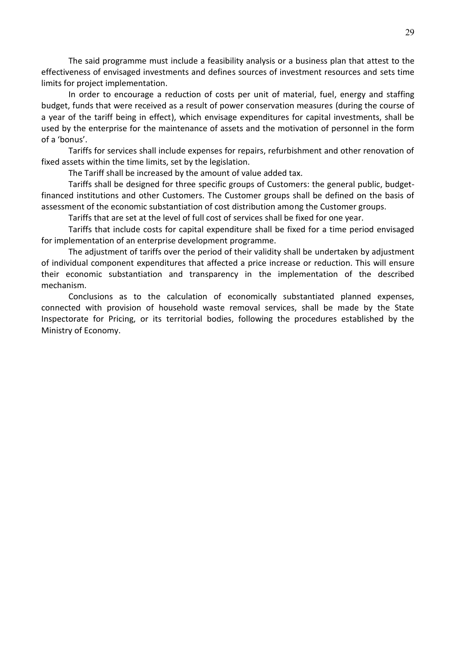The said programme must include a feasibility analysis or a business plan that attest to the effectiveness of envisaged investments and defines sources of investment resources and sets time limits for project implementation.

In order to encourage a reduction of costs per unit of material, fuel, energy and staffing budget, funds that were received as a result of power conservation measures (during the course of a year of the tariff being in effect), which envisage expenditures for capital investments, shall be used by the enterprise for the maintenance of assets and the motivation of personnel in the form of a 'bonus'.

Tariffs for services shall include expenses for repairs, refurbishment and other renovation of fixed assets within the time limits, set by the legislation.

The Tariff shall be increased by the amount of value added tax.

Tariffs shall be designed for three specific groups of Customers: the general public, budgetfinanced institutions and other Customers. The Customer groups shall be defined on the basis of assessment of the economic substantiation of cost distribution among the Customer groups.

Tariffs that are set at the level of full cost of services shall be fixed for one year.

Tariffs that include costs for capital expenditure shall be fixed for a time period envisaged for implementation of an enterprise development programme.

The adjustment of tariffs over the period of their validity shall be undertaken by adjustment of individual component expenditures that affected a price increase or reduction. This will ensure their economic substantiation and transparency in the implementation of the described mechanism.

Conclusions as to the calculation of economically substantiated planned expenses, connected with provision of household waste removal services, shall be made by the State Inspectorate for Pricing, or its territorial bodies, following the procedures established by the Ministry of Economy.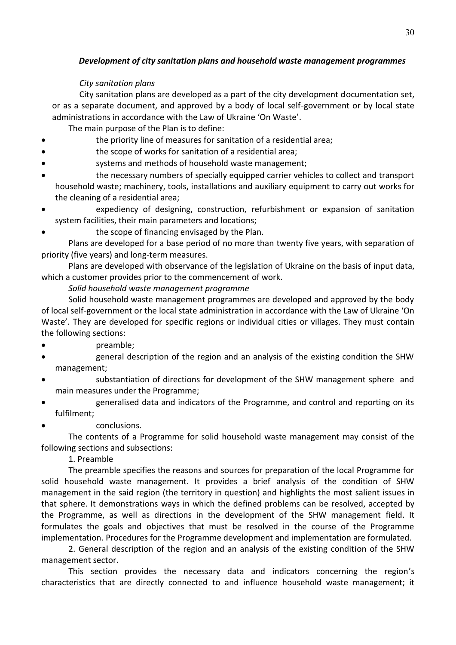## *Development of city sanitation plans and household waste management programmes*

### *City sanitation plans*

City sanitation plans are developed as a part of the city development documentation set, or as a separate document, and approved by a body of local self-government or by local state administrations in accordance with the Law of Ukraine 'On Waste'.

The main purpose of the Plan is to define:

- the priority line of measures for sanitation of a residential area;
- the scope of works for sanitation of a residential area;
- systems and methods of household waste management;
- the necessary numbers of specially equipped carrier vehicles to collect and transport household waste; machinery, tools, installations and auxiliary equipment to carry out works for the cleaning of a residential area;
- expediency of designing, construction, refurbishment or expansion of sanitation system facilities, their main parameters and locations;
- the scope of financing envisaged by the Plan.

Plans are developed for a base period of no more than twenty five years, with separation of priority (five years) and long-term measures.

Plans are developed with observance of the legislation of Ukraine on the basis of input data, which a customer provides prior to the commencement of work.

*Solid household waste management programme*

Solid household waste management programmes are developed and approved by the body of local self-government or the local state administration in accordance with the Law of Ukraine 'On Waste'. They are developed for specific regions or individual cities or villages. They must contain the following sections:

- **preamble**;
- general description of the region and an analysis of the existing condition the SHW management;
- substantiation of directions for development of the SHW management sphere and main measures under the Programme;
- generalised data and indicators of the Programme, and control and reporting on its fulfilment;
	- conclusions.

The contents of a Programme for solid household waste management may consist of the following sections and subsections:

# 1. Preamble

The preamble specifies the reasons and sources for preparation of the local Programme for solid household waste management. It provides a brief analysis of the condition of SHW management in the said region (the territory in question) and highlights the most salient issues in that sphere. It demonstrations ways in which the defined problems can be resolved, accepted by the Programme, as well as directions in the development of the SHW management field. It formulates the goals and objectives that must be resolved in the course of the Programme implementation. Procedures for the Programme development and implementation are formulated.

2. General description of the region and an analysis of the existing condition of the SHW management sector.

This section provides the necessary data and indicators concerning the region's characteristics that are directly connected to and influence household waste management; it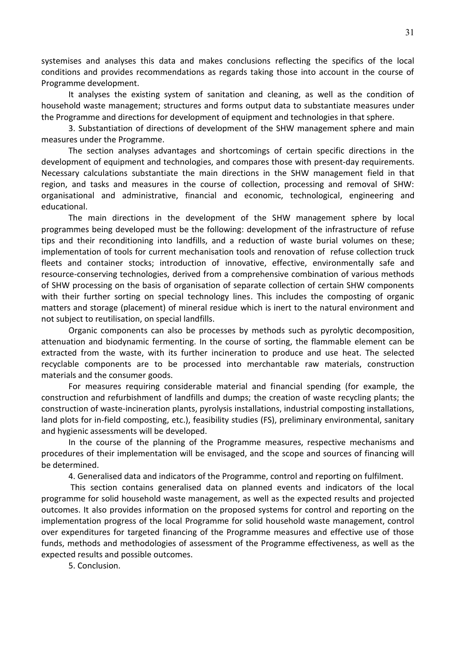systemises and analyses this data and makes conclusions reflecting the specifics of the local conditions and provides recommendations as regards taking those into account in the course of Programme development.

It analyses the existing system of sanitation and cleaning, as well as the condition of household waste management; structures and forms output data to substantiate measures under the Programme and directions for development of equipment and technologies in that sphere.

3. Substantiation of directions of development of the SHW management sphere and main measures under the Programme.

The section analyses advantages and shortcomings of certain specific directions in the development of equipment and technologies, and compares those with present-day requirements. Necessary calculations substantiate the main directions in the SHW management field in that region, and tasks and measures in the course of collection, processing and removal of SHW: organisational and administrative, financial and economic, technological, engineering and educational.

The main directions in the development of the SHW management sphere by local programmes being developed must be the following: development of the infrastructure of refuse tips and their reconditioning into landfills, and a reduction of waste burial volumes on these; implementation of tools for current mechanisation tools and renovation of refuse collection truck fleets and container stocks; introduction of innovative, effective, environmentally safe and resource-conserving technologies, derived from a comprehensive combination of various methods of SHW processing on the basis of organisation of separate collection of certain SHW components with their further sorting on special technology lines. This includes the composting of organic matters and storage (placement) of mineral residue which is inert to the natural environment and not subject to reutilisation, on special landfills.

Organic components can also be processes by methods such as pyrolytic decomposition, attenuation and biodynamic fermenting. In the course of sorting, the flammable element can be extracted from the waste, with its further incineration to produce and use heat. The selected recyclable components are to be processed into merchantable raw materials, construction materials and the consumer goods.

For measures requiring considerable material and financial spending (for example, the construction and refurbishment of landfills and dumps; the creation of waste recycling plants; the construction of waste-incineration plants, pyrolysis installations, industrial composting installations, land plots for in-field composting, etc.), feasibility studies (FS), preliminary environmental, sanitary and hygienic assessments will be developed.

In the course of the planning of the Programme measures, respective mechanisms and procedures of their implementation will be envisaged, and the scope and sources of financing will be determined.

4. Generalised data and indicators of the Programme, control and reporting on fulfilment.

This section contains generalised data on planned events and indicators of the local programme for solid household waste management, as well as the expected results and projected outcomes. It also provides information on the proposed systems for control and reporting on the implementation progress of the local Programme for solid household waste management, control over expenditures for targeted financing of the Programme measures and effective use of those funds, methods and methodologies of assessment of the Programme effectiveness, as well as the expected results and possible outcomes.

5. Conclusion.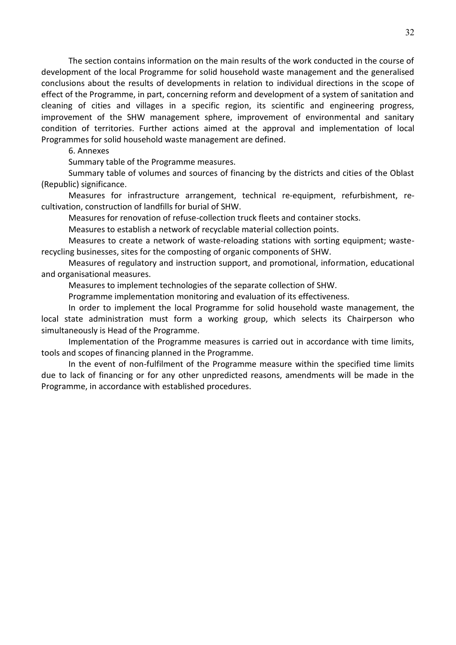The section contains information on the main results of the work conducted in the course of development of the local Programme for solid household waste management and the generalised conclusions about the results of developments in relation to individual directions in the scope of effect of the Programme, in part, concerning reform and development of a system of sanitation and cleaning of cities and villages in a specific region, its scientific and engineering progress, improvement of the SHW management sphere, improvement of environmental and sanitary condition of territories. Further actions aimed at the approval and implementation of local Programmes for solid household waste management are defined.

6. Annexes

Summary table of the Programme measures.

Summary table of volumes and sources of financing by the districts and cities of the Oblast (Republic) significance.

Measures for infrastructure arrangement, technical re-equipment, refurbishment, re cultivation, construction of landfills for burial of SHW.

Measures for renovation of refuse-collection truck fleets and container stocks.

Measures to establish a network of recyclable material collection points.

Measures to create a network of waste-reloading stations with sorting equipment; waste recycling businesses, sites for the composting of organic components of SHW.

Measures of regulatory and instruction support, and promotional, information, educational and organisational measures.

Measures to implement technologies of the separate collection of SHW.

Programme implementation monitoring and evaluation of its effectiveness.

In order to implement the local Programme for solid household waste management, the local state administration must form a working group, which selects its Chairperson who simultaneously is Head of the Programme.

Implementation of the Programme measures is carried out in accordance with time limits, tools and scopes of financing planned in the Programme.

In the event of non-fulfilment of the Programme measure within the specified time limits due to lack of financing or for any other unpredicted reasons, amendments will be made in the Programme, in accordance with established procedures.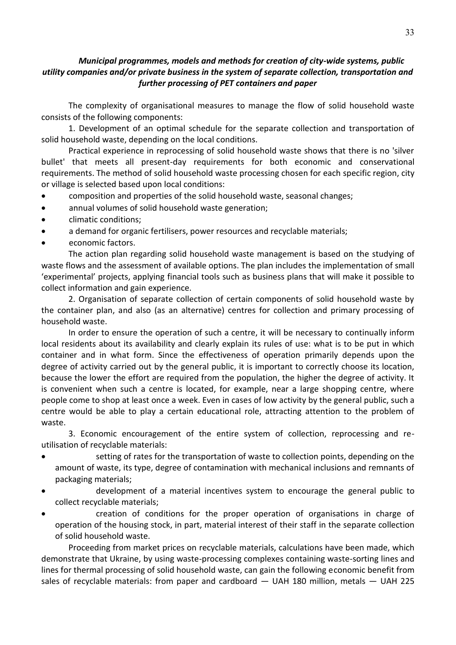### *Municipal programmes, models and methods for creation of city-wide systems, public utility companies and/or private business in the system of separate collection, transportation and further processing of PET containers and paper*

The complexity of organisational measures to manage the flow of solid household waste consists of the following components:

1. Development of an optimal schedule for the separate collection and transportation of solid household waste, depending on the local conditions.

Practical experience in reprocessing of solid household waste shows that there is no 'silver bullet' that meets all present-day requirements for both economic and conservational requirements. The method of solid household waste processing chosen for each specific region, city or village is selected based upon local conditions:

- composition and properties of the solid household waste, seasonal changes;
- annual volumes of solid household waste generation;
- climatic conditions;
- a demand for organic fertilisers, power resources and recyclable materials;
- economic factors.

The action plan regarding solid household waste management is based on the studying of waste flows and the assessment of available options. The plan includes the implementation of small 'experimental' projects, applying financial tools such as business plans that will make it possible to collect information and gain experience.

2. Organisation of separate collection of certain components of solid household waste by the container plan, and also (as an alternative) centres for collection and primary processing of household waste.

In order to ensure the operation of such a centre, it will be necessary to continually inform local residents about its availability and clearly explain its rules of use: what is to be put in which container and in what form. Since the effectiveness of operation primarily depends upon the degree of activity carried out by the general public, it is important to correctly choose its location, because the lower the effort are required from the population, the higher the degree of activity. It is convenient when such a centre is located, for example, near a large shopping centre, where people come to shop at least once a week. Even in cases of low activity by the general public, such a centre would be able to play a certain educational role, attracting attention to the problem of waste.

3. Economic encouragement of the entire system of collection, reprocessing and re utilisation of recyclable materials:

- setting of rates for the transportation of waste to collection points, depending on the amount of waste, its type, degree of contamination with mechanical inclusions and remnants of packaging materials;
- development of a material incentives system to encourage the general public to collect recyclable materials;
- creation of conditions for the proper operation of organisations in charge of operation of the housing stock, in part, material interest of their staff in the separate collection of solid household waste.

Proceeding from market prices on recyclable materials, calculations have been made, which demonstrate that Ukraine, by using waste-processing complexes containing waste-sorting lines and lines for thermal processing of solid household waste, can gain the following economic benefit from sales of recyclable materials: from paper and cardboard  $-$  UAH 180 million, metals  $-$  UAH 225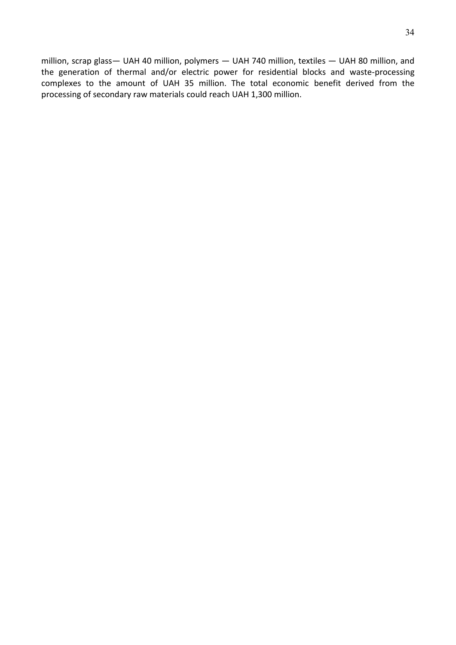million, scrap glass— UAH 40 million, polymers — UAH 740 million, textiles — UAH 80 million, and the generation of thermal and/or electric power for residential blocks and waste-processing complexes to the amount of UAH 35 million. The total economic benefit derived from the processing of secondary raw materials could reach UAH 1,300 million.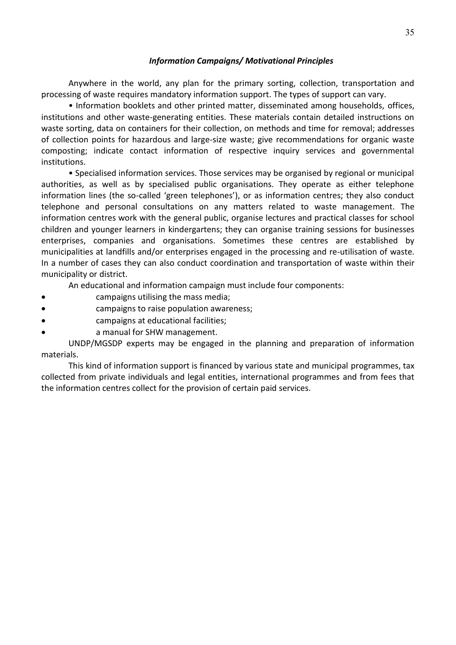#### *Information Campaigns/ Motivational Principles*

Anywhere in the world, any plan for the primary sorting, collection, transportation and processing of waste requires mandatory information support. The types of support can vary.

• Information booklets and other printed matter, disseminated among households, offices, institutions and other waste-generating entities. These materials contain detailed instructions on waste sorting, data on containers for their collection, on methods and time for removal; addresses of collection points for hazardous and large-size waste; give recommendations for organic waste composting; indicate contact information of respective inquiry services and governmental institutions.

• Specialised information services. Those services may be organised by regional or municipal authorities, as well as by specialised public organisations. They operate as either telephone information lines (the so-called 'green telephones'), or as information centres; they also conduct telephone and personal consultations on any matters related to waste management. The information centres work with the general public, organise lectures and practical classes for school children and younger learners in kindergartens; they can organise training sessions for businesses enterprises, companies and organisations. Sometimes these centres are established by municipalities at landfills and/or enterprises engaged in the processing and re-utilisation of waste. In a number of cases they can also conduct coordination and transportation of waste within their municipality or district.

An educational and information campaign must include four components:

- campaigns utilising the mass media;
- campaigns to raise population awareness;
- campaigns at educational facilities;
- a manual for SHW management.

UNDP/MGSDP experts may be engaged in the planning and preparation of information materials.

This kind of information support is financed by various state and municipal programmes, tax collected from private individuals and legal entities, international programmes and from fees that the information centres collect for the provision of certain paid services.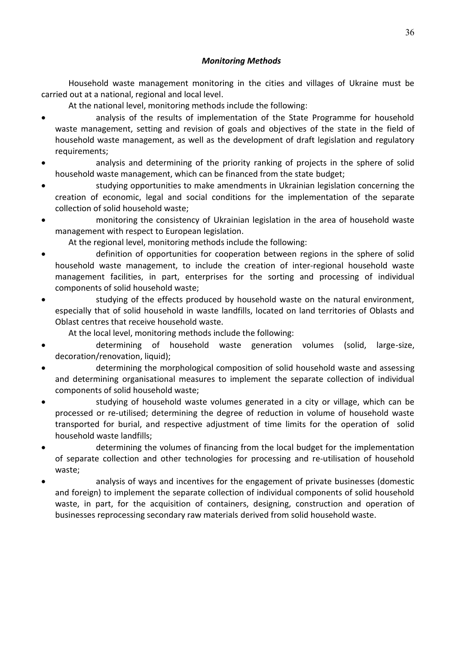### *Monitoring Methods*

Household waste management monitoring in the cities and villages of Ukraine must be carried out at a national, regional and local level.

- At the national level, monitoring methods include the following:
- analysis of the results of implementation of the State Programme for household waste management, setting and revision of goals and objectives of the state in the field of household waste management, as well as the development of draft legislation and regulatory requirements;
- analysis and determining of the priority ranking of projects in the sphere of solid household waste management, which can be financed from the state budget;
- studying opportunities to make amendments in Ukrainian legislation concerning the creation of economic, legal and social conditions for the implementation of the separate collection of solid household waste;
- monitoring the consistency of Ukrainian legislation in the area of household waste management with respect to European legislation.
	- At the regional level, monitoring methods include the following:
- definition of opportunities for cooperation between regions in the sphere of solid household waste management, to include the creation of inter-regional household waste management facilities, in part, enterprises for the sorting and processing of individual components of solid household waste;
- studying of the effects produced by household waste on the natural environment, especially that of solid household in waste landfills, located on land territories of Oblasts and Oblast centres that receive household waste.
	- At the local level, monitoring methods include the following:
- determining of household waste generation volumes (solid, large-size, decoration/renovation, liquid);
- determining the morphological composition of solid household waste and assessing and determining organisational measures to implement the separate collection of individual components of solid household waste;
- studying of household waste volumes generated in a city or village, which can be processed or re-utilised; determining the degree of reduction in volume of household waste transported for burial, and respective adjustment of time limits for the operation of solid household waste landfills;
- determining the volumes of financing from the local budget for the implementation of separate collection and other technologies for processing and re-utilisation of household waste;
- analysis of ways and incentives for the engagement of private businesses (domestic and foreign) to implement the separate collection of individual components of solid household waste, in part, for the acquisition of containers, designing, construction and operation of businesses reprocessing secondary raw materials derived from solid household waste.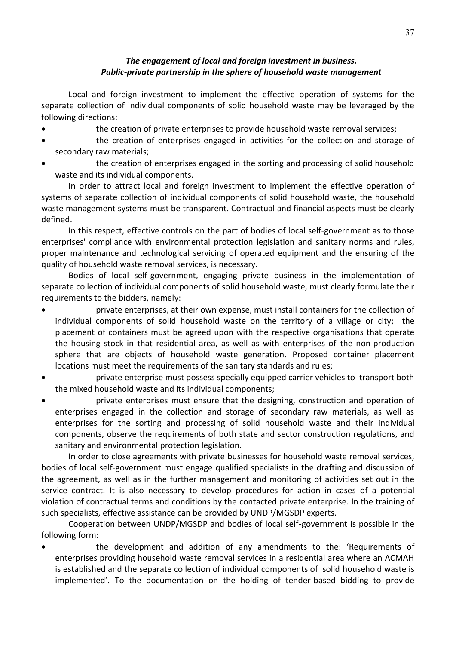# *The engagement of local and foreign investment in business. Public-private partnership in the sphere of household waste management*

Local and foreign investment to implement the effective operation of systems for the separate collection of individual components of solid household waste may be leveraged by the following directions:

- the creation of private enterprises to provide household waste removal services;
- the creation of enterprises engaged in activities for the collection and storage of secondary raw materials;
- the creation of enterprises engaged in the sorting and processing of solid household waste and its individual components.

In order to attract local and foreign investment to implement the effective operation of systems of separate collection of individual components of solid household waste, the household waste management systems must be transparent. Contractual and financial aspects must be clearly defined.

In this respect, effective controls on the part of bodies of local self-government as to those enterprises' compliance with environmental protection legislation and sanitary norms and rules, proper maintenance and technological servicing of operated equipment and the ensuring of the quality of household waste removal services, is necessary.

Bodies of local self-government, engaging private business in the implementation of separate collection of individual components of solid household waste, must clearly formulate their requirements to the bidders, namely:

- private enterprises, at their own expense, must install containers for the collection of individual components of solid household waste on the territory of a village or city; the placement of containers must be agreed upon with the respective organisations that operate the housing stock in that residential area, as well as with enterprises of the non-production sphere that are objects of household waste generation. Proposed container placement locations must meet the requirements of the sanitary standards and rules;
- private enterprise must possess specially equipped carrier vehicles to transport both the mixed household waste and its individual components;
- private enterprises must ensure that the designing, construction and operation of enterprises engaged in the collection and storage of secondary raw materials, as well as enterprises for the sorting and processing of solid household waste and their individual components, observe the requirements of both state and sector construction regulations, and sanitary and environmental protection legislation.

In order to close agreements with private businesses for household waste removal services, bodies of local self-government must engage qualified specialists in the drafting and discussion of the agreement, as well as in the further management and monitoring of activities set out in the service contract. It is also necessary to develop procedures for action in cases of a potential violation of contractual terms and conditions by the contacted private enterprise. In the training of such specialists, effective assistance can be provided by UNDP/MGSDP experts.

Cooperation between UNDP/MGSDP and bodies of local self-government is possible in the following form:

 the development and addition of any amendments to the: 'Requirements of enterprises providing household waste removal services in a residential area where an ACMAH is established and the separate collection of individual components of solid household waste is implemented'. To the documentation on the holding of tender-based bidding to provide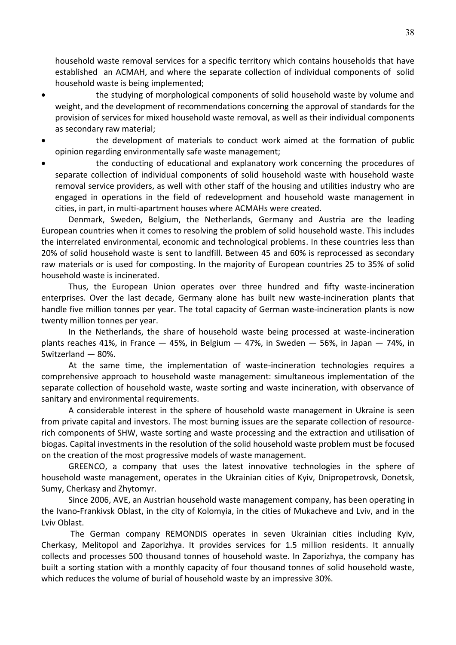household waste removal services for a specific territory which contains households that have established an ACMAH, and where the separate collection of individual components of solid household waste is being implemented;

- the studying of morphological components of solid household waste by volume and weight, and the development of recommendations concerning the approval of standards for the provision of services for mixed household waste removal, as well as their individual components as secondary raw material;
- the development of materials to conduct work aimed at the formation of public opinion regarding environmentally safe waste management;
- the conducting of educational and explanatory work concerning the procedures of separate collection of individual components of solid household waste with household waste removal service providers, as well with other staff of the housing and utilities industry who are engaged in operations in the field of redevelopment and household waste management in cities, in part, in multi-apartment houses where ACMAHs were created.

Denmark, Sweden, Belgium, the Netherlands, Germany and Austria are the leading European countries when it comes to resolving the problem of solid household waste. This includes the interrelated environmental, economic and technological problems. In these countries less than 20% of solid household waste is sent to landfill. Between 45 and 60% is reprocessed as secondary raw materials or is used for composting. In the majority of European countries 25 to 35% of solid household waste is incinerated.

Thus, the European Union operates over three hundred and fifty waste-incineration enterprises. Over the last decade, Germany alone has built new waste-incineration plants that handle five million tonnes per year. The total capacity of German waste-incineration plants is now twenty million tonnes per year.

In the Netherlands, the share of household waste being processed at waste-incineration plants reaches 41%, in France  $-$  45%, in Belgium  $-$  47%, in Sweden  $-$  56%, in Japan  $-$  74%, in Switzerland — 80%.

At the same time, the implementation of waste-incineration technologies requires a comprehensive approach to household waste management: simultaneous implementation of the separate collection of household waste, waste sorting and waste incineration, with observance of sanitary and environmental requirements.

A considerable interest in the sphere of household waste management in Ukraine is seen from private capital and investors. The most burning issues are the separate collection of resource rich components of SHW, waste sorting and waste processing and the extraction and utilisation of biogas. Capital investments in the resolution of the solid household waste problem must be focused on the creation of the most progressive models of waste management.

GREENCO, a company that uses the latest innovative technologies in the sphere of household waste management, operates in the Ukrainian cities of Kyiv, Dnipropetrovsk, Donetsk, Sumy, Cherkasy and Zhytomyr.

Since 2006, АVЕ, an Austrian household waste management company, has been operating in the Ivano-Frankivsk Oblast, in the city of Kolomyia, in the cities of Mukacheve and Lviv, and in the Lviv Oblast.

The German company REMONDIS operates in seven Ukrainian cities including Kyiv, Cherkasy, Melitopol and Zaporizhya. It provides services for 1.5 million residents. It annually collects and processes 500 thousand tonnes of household waste. In Zaporizhya, the company has built a sorting station with a monthly capacity of four thousand tonnes of solid household waste, which reduces the volume of burial of household waste by an impressive 30%.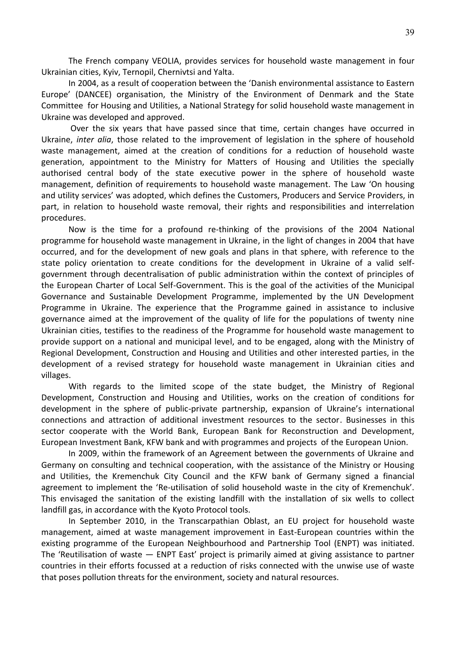The French company VEOLIA, provides services for household waste management in four Ukrainian cities, Kyiv, Ternopil, Chernivtsi and Yalta.

In 2004, as a result of cooperation between the 'Danish environmental assistance to Eastern Europe' (DANCEE) organisation, the Ministry of the Environment of Denmark and the State Committee for Housing and Utilities, a National Strategy for solid household waste management in Ukraine was developed and approved.

Over the six years that have passed since that time, certain changes have occurred in Ukraine, *inter alia*, those related to the improvement of legislation in the sphere of household waste management, aimed at the creation of conditions for a reduction of household waste generation, appointment to the Ministry for Matters of Housing and Utilities the specially authorised central body of the state executive power in the sphere of household waste management, definition of requirements to household waste management. The Law 'On housing and utility services' was adopted, which defines the Customers, Producers and Service Providers, in part, in relation to household waste removal, their rights and responsibilities and interrelation procedures.

Now is the time for a profound re-thinking of the provisions of the 2004 National programme for household waste management in Ukraine, in the light of changes in 2004 that have occurred, and for the development of new goals and plans in that sphere, with reference to the state policy orientation to create conditions for the development in Ukraine of a valid self government through decentralisation of public administration within the context of principles of the European Charter of Local Self-Government. This is the goal of the activities of the Municipal Governance and Sustainable Development Programme, implemented by the UN Development Programme in Ukraine. The experience that the Programme gained in assistance to inclusive governance aimed at the improvement of the quality of life for the populations of twenty nine Ukrainian cities, testifies to the readiness of the Programme for household waste management to provide support on a national and municipal level, and to be engaged, along with the Ministry of Regional Development, Construction and Housing and Utilities and other interested parties, in the development of a revised strategy for household waste management in Ukrainian cities and villages.<br>With regards to the limited scope of the state budget, the Ministry of Regional

Development, Construction and Housing and Utilities, works on the creation of conditions for development in the sphere of public-private partnership, expansion of Ukraine's international connections and attraction of additional investment resources to the sector. Businesses in this sector cooperate with the World Bank, European Bank for Reconstruction and Development, European Investment Bank, KFW bank and with programmes and projects of the European Union.

In 2009, within the framework of an Agreement between the governments of Ukraine and Germany on consulting and technical cooperation, with the assistance of the Ministry or Housing and Utilities, the Kremenchuk City Council and the KFW bank of Germany signed a financial agreement to implement the 'Re-utilisation of solid household waste in the city of Kremenchuk'. This envisaged the sanitation of the existing landfill with the installation of six wells to collect landfill gas, in accordance with the Kyoto Protocol tools.

In September 2010, in the Transcarpathian Oblast, an EU project for household waste management, aimed at waste management improvement in East-European countries within the existing programme of the European Neighbourhood and Partnership Tool (ENPT) was initiated. The 'Reutilisation of waste — ENPT East' project is primarily aimed at giving assistance to partner countries in their efforts focussed at a reduction of risks connected with the unwise use of waste that poses pollution threats for the environment, society and natural resources.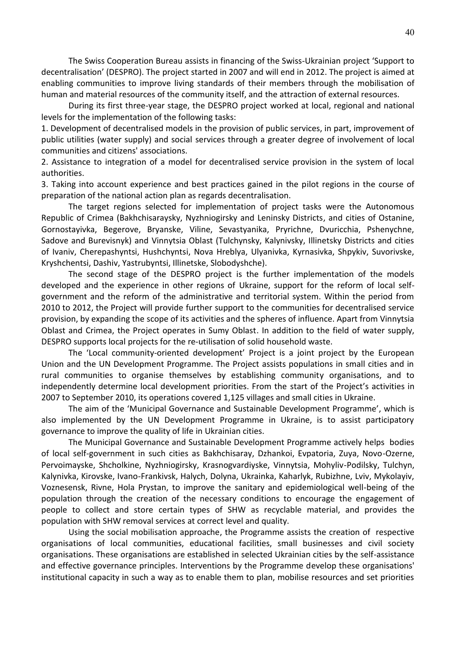The Swiss Cooperation Bureau assists in financing of the Swiss-Ukrainian project 'Support to decentralisation' (DESPRO). The project started in 2007 and will end in 2012. The project is aimed at enabling communities to improve living standards of their members through the mobilisation of human and material resources of the community itself, and the attraction of external resources.

During its first three-year stage, the DESPRO project worked at local, regional and national levels for the implementation of the following tasks:

1. Development of decentralised models in the provision of public services, in part, improvement of public utilities (water supply) and social services through a greater degree of involvement of local communities and citizens' associations.

2. Assistance to integration of a model for decentralised service provision in the system of local authorities.

3. Taking into account experience and best practices gained in the pilot regions in the course of preparation of the national action plan as regards decentralisation.

The target regions selected for implementation of project tasks were the Autonomous Republic of Crimea (Bakhchisaraysky, Nyzhniogirsky and Leninsky Districts, and cities of Ostanine, Gornostayivka, Begerove, Bryanske, Viline, Sevastyanika, Pryrichne, Dvuricchia, Pshenychne, Sadove and Burevisnyk) and Vinnytsia Oblast (Tulchynsky, Kalynivsky, Illinetsky Districts and cities of Ivaniv, Cherepashyntsi, Hushchyntsi, Nova Hreblya, Ulyanivka, Kyrnasivka, Shpykiv, Suvorivske, Kryshchentsi, Dashiv, Yastrubyntsi, Illinetske, Slobodyshche).

The second stage of the DESPRO project is the further implementation of the models developed and the experience in other regions of Ukraine, support for the reform of local self government and the reform of the administrative and territorial system. Within the period from 2010 to 2012, the Project will provide further support to the communities for decentralised service provision, by expanding the scope of its activities and the spheres of influence. Apart from Vinnytsia Oblast and Crimea, the Project operates in Sumy Oblast. In addition to the field of water supply, DESPRO supports local projects for the re-utilisation of solid household waste.

The 'Local community-oriented development' Project is a joint project by the European Union and the UN Development Programme. The Project assists populations in small cities and in rural communities to organise themselves by establishing community organisations, and to independently determine local development priorities. From the start of the Project's activities in 2007 to September 2010, its operations covered 1,125 villages and small cities in Ukraine.

The aim of the 'Municipal Governance and Sustainable Development Programme', which is also implemented by the UN Development Programme in Ukraine, is to assist participatory governance to improve the quality of life in Ukrainian cities.

The Municipal Governance and Sustainable Development Programme actively helps bodies of local self-government in such cities as Bakhchisaray, Dzhankoi, Evpatoria, Zuya, Novo-Ozerne, Pervoimayske, Shcholkine, Nyzhniogirsky, Krasnogvardiyske, Vinnytsia, Mohyliv-Podilsky, Tulchyn, Kalynivka, Kirovske, Ivano-Frankivsk, Halych, Dolyna, Ukrainka, Kaharlyk, Rubizhne, Lviv, Mykolayiv, Voznesensk, Rivne, Hola Prystan, to improve the sanitary and epidemiological well-being of the population through the creation of the necessary conditions to encourage the engagement of people to collect and store certain types of SHW as recyclable material, and provides the population with SHW removal services at correct level and quality.

Using the social mobilisation approache, the Programme assists the creation of respective organisations of local communities, educational facilities, small businesses and civil society organisations. These organisations are established in selected Ukrainian cities by the self-assistance and effective governance principles. Interventions by the Programme develop these organisations' institutional capacity in such a way as to enable them to plan, mobilise resources and set priorities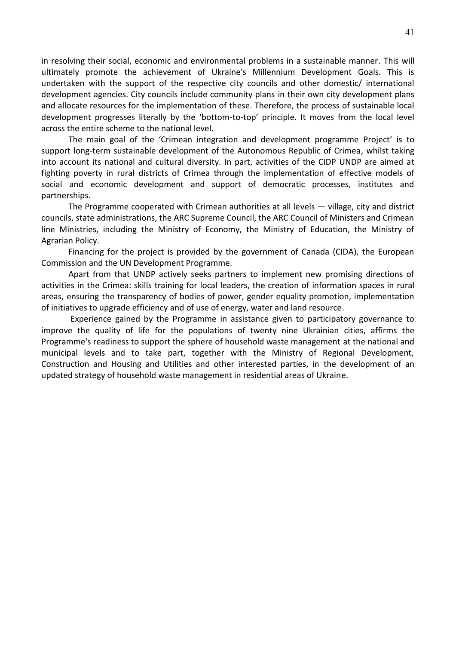in resolving their social, economic and environmental problems in a sustainable manner. This will ultimately promote the achievement of Ukraine's Millennium Development Goals. This is undertaken with the support of the respective city councils and other domestic/ international development agencies. City councils include community plans in their own city development plans and allocate resources for the implementation of these. Therefore, the process of sustainable local development progresses literally by the 'bottom-to-top' principle. It moves from the local level across the entire scheme to the national level.

The main goal of the 'Crimean integration and development programme Project' is to support long-term sustainable development of the Autonomous Republic of Crimea, whilst taking into account its national and cultural diversity. In part, activities of the CIDP UNDP are aimed at fighting poverty in rural districts of Crimea through the implementation of effective models of social and economic development and support of democratic processes, institutes and partnerships.

The Programme cooperated with Crimean authorities at all levels — village, city and district councils, state administrations, the ARC Supreme Council, the ARC Council of Ministers and Crimean line Ministries, including the Ministry of Economy, the Ministry of Education, the Ministry of Agrarian Policy.

Financing for the project is provided by the government of Canada (CIDA), the European Commission and the UN Development Programme.

Apart from that UNDP actively seeks partners to implement new promising directions of activities in the Crimea: skills training for local leaders, the creation of information spaces in rural areas, ensuring the transparency of bodies of power, gender equality promotion, implementation of initiatives to upgrade efficiency and of use of energy, water and land resource.

Experience gained by the Programme in assistance given to participatory governance to improve the quality of life for the populations of twenty nine Ukrainian cities, affirms the Programme's readiness to support the sphere of household waste management at the national and municipal levels and to take part, together with the Ministry of Regional Development, Construction and Housing and Utilities and other interested parties, in the development of an updated strategy of household waste management in residential areas of Ukraine.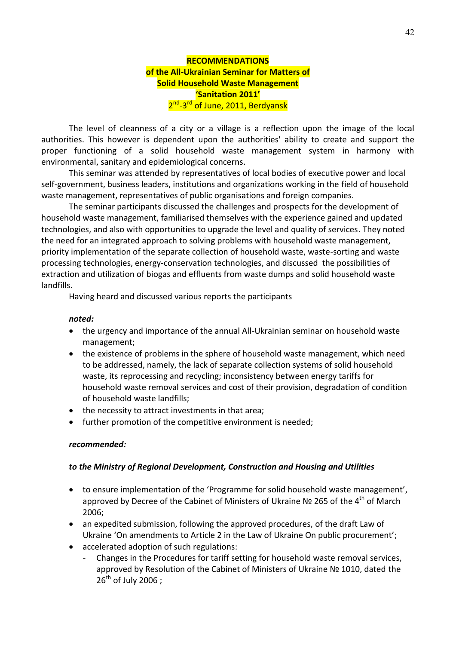# **RECOMMENDATIONS of the All-Ukrainian Seminar for Matters of Solid Household Waste Management 'Sanitation 2011'** 2<sup>nd</sup>-3<sup>rd</sup> of June, 2011, Berdyansk

The level of cleanness of a city or a village is a reflection upon the image of the local authorities. This however is dependent upon the authorities' ability to create and support the proper functioning of a solid household waste management system in harmony with environmental, sanitary and epidemiological concerns.

This seminar was attended by representatives of local bodies of executive power and local self-government, business leaders, institutions and organizations working in the field of household waste management, representatives of public organisations and foreign companies.

The seminar participants discussed the challenges and prospects for the development of household waste management, familiarised themselves with the experience gained and updated technologies, and also with opportunities to upgrade the level and quality of services. They noted the need for an integrated approach to solving problems with household waste management, priority implementation of the separate collection of household waste, waste-sorting and waste processing technologies, energy-conservation technologies, and discussed the possibilities of extraction and utilization of biogas and effluents from waste dumps and solid household waste landfills.

Having heard and discussed various reports the participants

#### *noted:*

- the urgency and importance of the annual All-Ukrainian seminar on household waste management;
- the existence of problems in the sphere of household waste management, which need to be addressed, namely, the lack of separate collection systems of solid household waste, its reprocessing and recycling; inconsistency between energy tariffs for household waste removal services and cost of their provision, degradation of condition of household waste landfills;
- the necessity to attract investments in that area:
- further promotion of the competitive environment is needed;

#### *recommended:*

#### *to the Ministry of Regional Development, Construction and Housing and Utilities*

- to ensure implementation of the 'Programme for solid household waste management', approved by Decree of the Cabinet of Ministers of Ukraine Nº 265 of the 4<sup>th</sup> of March 2006;
- an expedited submission, following the approved procedures, of the draft Law of Ukraine 'On amendments to Article 2 in the Law of Ukraine On public procurement';
- accelerated adoption of such regulations:
	- Changes in the Procedures for tariff setting for household waste removal services, approved by Resolution of the Cabinet of Ministers of Ukraine № 1010, dated the  $26^{th}$  of July 2006 ;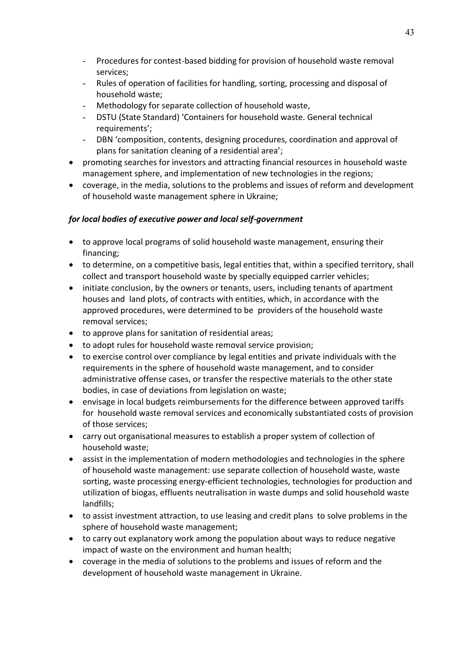- Procedures for contest-based bidding for provision of household waste removal services;
- Rules of operation of facilities for handling, sorting, processing and disposal of household waste;
- Methodology for separate collection of household waste,
- DSTU (State Standard) 'Containers for household waste. General technical requirements';
- DBN 'composition, contents, designing procedures, coordination and approval of plans for sanitation cleaning of a residential area';
- promoting searches for investors and attracting financial resources in household waste management sphere, and implementation of new technologies in the regions;
- coverage, in the media, solutions to the problems and issues of reform and development of household waste management sphere in Ukraine;

### *for local bodies of executive power and local self-government*

- to approve local programs of solid household waste management, ensuring their financing;
- to determine, on a competitive basis, legal entities that, within a specified territory, shall collect and transport household waste by specially equipped carrier vehicles;
- initiate conclusion, by the owners or tenants, users, including tenants of apartment houses and land plots, of contracts with entities, which, in accordance with the approved procedures, were determined to be providers of the household waste removal services;
- to approve plans for sanitation of residential areas;
- to adopt rules for household waste removal service provision;
- to exercise control over compliance by legal entities and private individuals with the requirements in the sphere of household waste management, and to consider administrative offense cases, or transfer the respective materials to the other state bodies, in case of deviations from legislation on waste;
- envisage in local budgets reimbursements for the difference between approved tariffs for household waste removal services and economically substantiated costs of provision of those services;
- carry out organisational measures to establish a proper system of collection of household waste;
- assist in the implementation of modern methodologies and technologies in the sphere of household waste management: use separate collection of household waste, waste sorting, waste processing energy-efficient technologies, technologies for production and utilization of biogas, effluents neutralisation in waste dumps and solid household waste landfills;
- to assist investment attraction, to use leasing and credit plans to solve problems in the sphere of household waste management;
- to carry out explanatory work among the population about ways to reduce negative impact of waste on the environment and human health;
- coverage in the media of solutions to the problems and issues of reform and the development of household waste management in Ukraine.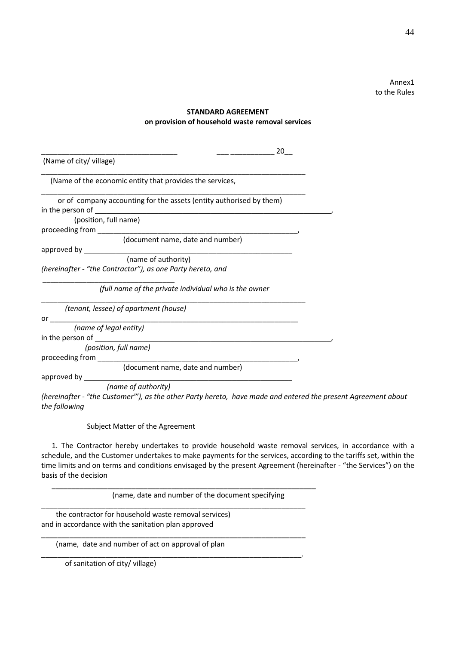Annex1 to the Rules

#### **STANDARD AGREEMENT on provision of household waste removal services**

|                                                                                               | 20 |
|-----------------------------------------------------------------------------------------------|----|
| (Name of city/ village)                                                                       |    |
| (Name of the economic entity that provides the services,                                      |    |
| or of company accounting for the assets (entity authorised by them)                           |    |
| in the person of                                                                              |    |
| (position, full name)                                                                         |    |
| (document name, date and number)                                                              |    |
| approved by ___________<br>(name of authority)                                                |    |
| (hereinafter - "the Contractor"), as one Party hereto, and                                    |    |
| (full name of the private individual who is the owner                                         |    |
| (tenant, lessee) of apartment (house)                                                         |    |
| or                                                                                            |    |
| (name of legal entity)                                                                        |    |
|                                                                                               |    |
| (position, full name)                                                                         |    |
| proceeding from                                                                               |    |
| (document name, date and number)                                                              |    |
| approved by                                                                                   |    |
| (name of authority)                                                                           |    |
| (hereinafter - "the Customer""), as the other Party hereto, have made and entered the present |    |

*(hereinafter - "the Customer'"), as the other Party hereto, have made and entered the present Agreement about the following*

Subject Matter of the Agreement

1. The Contractor hereby undertakes to provide household waste removal services, in accordance with a schedule, and the Customer undertakes to make payments for the services, according to the tariffs set, within the time limits and on terms and conditions envisaged by the present Agreement (hereinafter - "the Services") on the basis of the decision

\_\_\_\_\_\_\_\_\_\_\_\_\_\_\_\_\_\_\_\_\_\_\_\_\_\_\_\_\_\_\_\_\_\_\_\_\_\_\_\_\_\_\_\_\_\_\_\_\_\_\_\_\_\_\_\_\_\_\_\_\_\_\_\_\_\_ (name, date and number of the document specifying

\_\_\_\_\_\_\_\_\_\_\_\_\_\_\_\_\_\_\_\_\_\_\_\_\_\_\_\_\_\_\_\_\_\_\_\_\_\_\_\_\_\_\_\_\_\_\_\_\_\_\_\_\_\_\_\_\_\_\_\_\_\_\_\_\_\_

\_\_\_\_\_\_\_\_\_\_\_\_\_\_\_\_\_\_\_\_\_\_\_\_\_\_\_\_\_\_\_\_\_\_\_\_\_\_\_\_\_\_\_\_\_\_\_\_\_\_\_\_\_\_\_\_\_\_\_\_\_\_\_\_\_\_

\_\_\_\_\_\_\_\_\_\_\_\_\_\_\_\_\_\_\_\_\_\_\_\_\_\_\_\_\_\_\_\_\_\_\_\_\_\_\_\_\_\_\_\_\_\_\_\_\_\_\_\_\_\_\_\_\_\_\_\_\_\_\_\_\_.

the contractor for household waste removal services) and in accordance with the sanitation plan approved

(name, date and number of act on approval of plan

of sanitation of city/ village)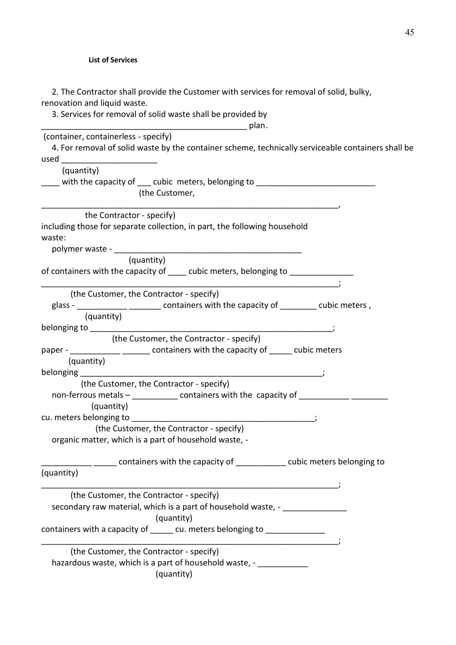| 2. The Contractor shall provide the Customer with services for removal of solid, bulky,            |
|----------------------------------------------------------------------------------------------------|
| renovation and liquid waste.                                                                       |
| 3. Services for removal of solid waste shall be provided by                                        |
|                                                                                                    |
| (container, containerless - specify)                                                               |
| 4. For removal of solid waste by the container scheme, technically serviceable containers shall be |
| used _____________________________                                                                 |
| (quantity)                                                                                         |
| with the capacity of ___ cubic meters, belonging to ____________________________                   |
| (the Customer,                                                                                     |
|                                                                                                    |
| the Contractor - specify)                                                                          |
| including those for separate collection, in part, the following household<br>waste:                |
|                                                                                                    |
| (quantity)                                                                                         |
| of containers with the capacity of ____ cubic meters, belonging to ____________                    |
|                                                                                                    |
| (the Customer, the Contractor - specify)                                                           |
| glass - _____________ containers with the capacity of ________ cubic meters,                       |
| (quantity)                                                                                         |
|                                                                                                    |
| (the Customer, the Contractor - specify)                                                           |
| paper - _____________ _______ containers with the capacity of ______ cubic meters                  |
| (quantity)                                                                                         |
|                                                                                                    |
| (the Customer, the Contractor - specify)                                                           |
| non-ferrous metals - ____________ containers with the capacity of ____________ _________           |
| (quantity)                                                                                         |
|                                                                                                    |
| (the Customer, the Contractor - specify)                                                           |
| organic matter, which is a part of household waste, -                                              |
|                                                                                                    |
| _____ ______ containers with the capacity of ____________ cubic meters belonging to                |
| (quantity)                                                                                         |
|                                                                                                    |
| (the Customer, the Contractor - specify)                                                           |
| secondary raw material, which is a part of household waste, -                                      |
| (quantity)                                                                                         |
| containers with a capacity of ______ cu. meters belonging to ______________                        |
| <u> Andrew Maria (1989)</u>                                                                        |
| (the Customer, the Contractor - specify)                                                           |
| hazardous waste, which is a part of household waste, - ____________                                |
| (quantity)                                                                                         |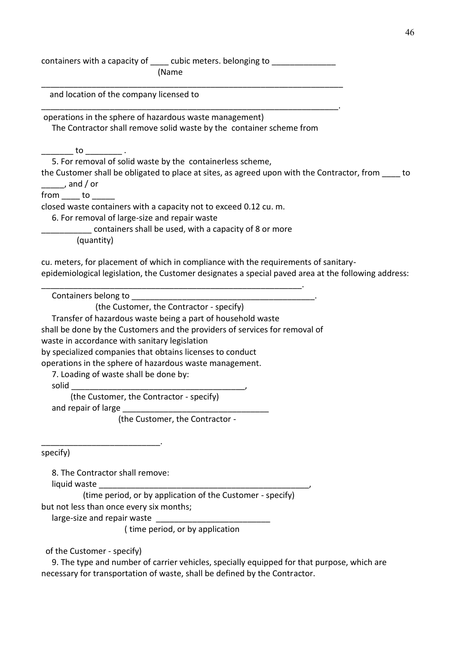containers with a capacity of \_\_\_\_\_ cubic meters. belonging to \_\_\_\_\_\_\_\_\_\_\_\_\_\_\_\_\_ (Name \_\_\_\_\_\_\_\_\_\_\_\_\_\_\_\_\_\_\_\_\_\_\_\_\_\_\_\_\_\_\_\_\_\_\_\_\_\_\_\_\_\_\_\_\_\_\_\_\_\_\_\_\_\_\_\_\_\_\_\_\_\_\_\_\_\_ and location of the company licensed to \_\_\_\_\_\_\_\_\_\_\_\_\_\_\_\_\_\_\_\_\_\_\_\_\_\_\_\_\_\_\_\_\_\_\_\_\_\_\_\_\_\_\_\_\_\_\_\_\_\_\_\_\_\_\_\_\_\_\_\_\_\_\_\_\_. operations in the sphere of hazardous waste management) The Contractor shall remove solid waste by the container scheme from  $\bullet$  to  $\bullet$  . 5. For removal of solid waste by the containerless scheme, the Customer shall be obligated to place at sites, as agreed upon with the Contractor, from \_\_\_\_ to  $\_\_\_$ , and / or from to closed waste containers with a capacity not to exceed 0.12 cu. m. 6. For removal of large-size and repair waste \_\_\_\_\_\_\_\_\_\_\_ containers shall be used, with a capacity of 8 or more (quantity) cu. meters, for placement of which in compliance with the requirements of sanitary epidemiological legislation, the Customer designates a special paved area at the following address: \_\_\_\_\_\_\_\_\_\_\_\_\_\_\_\_\_\_\_\_\_\_\_\_\_\_\_\_\_\_\_\_\_\_\_\_\_\_\_\_\_\_\_\_\_\_\_\_\_\_\_\_\_\_\_\_\_. Containers belong to **containers** (the Customer, the Contractor - specify) Transfer of hazardous waste being a part of household waste shall be done by the Customers and the providers of services for removal of waste in accordance with sanitary legislation by specialized companies that obtains licenses to conduct operations in the sphere of hazardous waste management. 7. Loading of waste shall be done by: solid (the Customer, the Contractor - specify) and repair of large (the Customer, the Contractor - \_\_\_\_\_\_\_\_\_\_\_\_\_\_\_\_\_\_\_\_\_\_\_\_\_\_. specify) 8. The Contractor shall remove: liquid waste (time period, or by application of the Customer - specify) but not less than once every six months; large-size and repair waste ( time period, or by application

of the Customer - specify)

9. The type and number of carrier vehicles, specially equipped for that purpose, which are necessary for transportation of waste, shall be defined by the Contractor.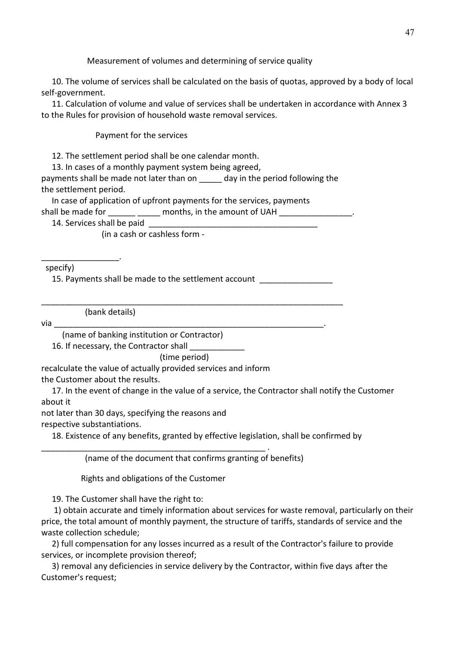Measurement of volumes and determining of service quality

10. The volume of services shall be calculated on the basis of quotas, approved by a body of local self-government.

11. Calculation of volume and value of services shall be undertaken in accordance with Annex 3 to the Rules for provision of household waste removal services.

Payment for the services

12. The settlement period shall be one calendar month.

13. In cases of a monthly payment system being agreed,

payments shall be made not later than on \_\_\_\_\_ day in the period following the the settlement period.

In case of application of upfront payments for the services, payments shall be made for \_\_\_\_\_\_\_ \_\_\_\_\_\_ months, in the amount of UAH \_\_\_\_\_\_\_\_

14. Services shall be paid

\_\_\_\_\_\_\_\_\_\_\_\_\_\_\_\_\_.

(in a cash or cashless form -

specify)

15. Payments shall be made to the settlement account

(bank details)

via \_\_\_\_\_\_\_\_\_\_\_\_\_\_\_\_\_\_\_\_\_\_\_\_\_\_\_\_\_\_\_\_\_\_\_\_\_\_\_\_\_\_\_\_\_\_\_\_\_\_\_\_\_\_\_\_\_\_\_.

(name of banking institution or Contractor)

16. If necessary, the Contractor shall

(time period)

recalculate the value of actually provided services and inform

the Customer about the results.

17. In the event of change in the value of a service, the Contractor shall notify the Customer about it

not later than 30 days, specifying the reasons and

respective substantiations.

18. Existence of any benefits, granted by effective legislation, shall be confirmed by

\_\_\_\_\_\_\_\_\_\_\_\_\_\_\_\_\_\_\_\_\_\_\_\_\_\_\_\_\_\_\_\_\_\_\_\_\_\_\_\_\_\_\_\_\_\_\_\_\_\_\_\_\_\_\_\_\_\_\_\_\_\_\_\_\_\_

(name of the document that confirms granting of benefits)

Rights and obligations of the Customer

\_\_\_\_\_\_\_\_\_\_\_\_\_\_\_\_\_\_\_\_\_\_\_\_\_\_\_\_\_\_\_\_\_\_\_\_\_\_\_\_\_\_\_\_\_\_\_\_\_ .

19. The Customer shall have the right to:

1) obtain accurate and timely information about services for waste removal, particularly on their price, the total amount of monthly payment, the structure of tariffs, standards of service and the waste collection schedule;

2) full compensation for any losses incurred as a result of the Contractor's failure to provide services, or incomplete provision thereof;

3) removal any deficiencies in service delivery by the Contractor, within five days after the Customer's request;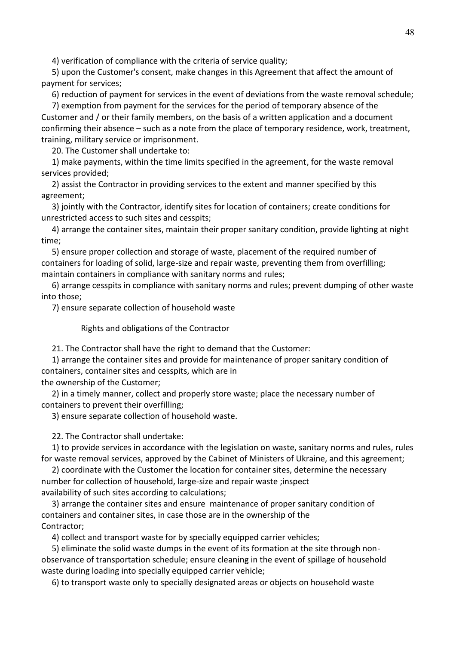4) verification of compliance with the criteria of service quality;

5) upon the Customer's consent, make changes in this Agreement that affect the amount of payment for services;

6) reduction of payment for services in the event of deviations from the waste removal schedule;

7) exemption from payment for the services for the period of temporary absence of the Customer and / or their family members, on the basis of a written application and a document confirming their absence – such as a note from the place of temporary residence, work, treatment, training, military service or imprisonment.

20. The Customer shall undertake to:

1) make payments, within the time limits specified in the agreement, for the waste removal services provided;

2) assist the Contractor in providing services to the extent and manner specified by this agreement;

3) jointly with the Contractor, identify sites for location of containers; create conditions for unrestricted access to such sites and cesspits;

4) arrange the container sites, maintain their proper sanitary condition, provide lighting at night time;

5) ensure proper collection and storage of waste, placement of the required number of containers for loading of solid, large-size and repair waste, preventing them from overfilling; maintain containers in compliance with sanitary norms and rules;

6) arrange cesspits in compliance with sanitary norms and rules; prevent dumping of other waste into those;

7) ensure separate collection of household waste

Rights and obligations of the Contractor

21. The Contractor shall have the right to demand that the Customer:

1) arrange the container sites and provide for maintenance of proper sanitary condition of containers, container sites and cesspits, which are in

the ownership of the Customer;

2) in a timely manner, collect and properly store waste; place the necessary number of containers to prevent their overfilling;

3) ensure separate collection of household waste.

22. The Contractor shall undertake:

1) to provide services in accordance with the legislation on waste, sanitary norms and rules, rules for waste removal services, approved by the Cabinet of Ministers of Ukraine, and this agreement;

2) coordinate with the Customer the location for container sites, determine the necessary number for collection of household, large-size and repair waste ;inspect availability of such sites according to calculations;

3) arrange the container sites and ensure maintenance of proper sanitary condition of containers and container sites, in case those are in the ownership of the Contractor;

4) collect and transport waste for by specially equipped carrier vehicles;

5) eliminate the solid waste dumps in the event of its formation at the site through non observance of transportation schedule; ensure cleaning in the event of spillage of household waste during loading into specially equipped carrier vehicle;

6) to transport waste only to specially designated areas or objects on household waste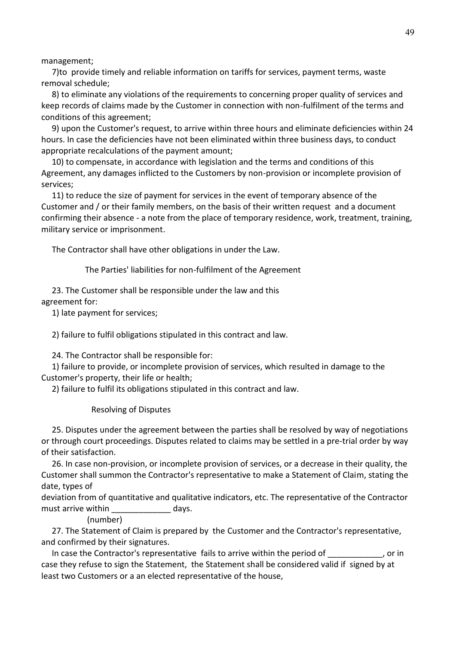management;

7)to provide timely and reliable information on tariffs for services, payment terms, waste removal schedule;

8) to eliminate any violations of the requirements to concerning proper quality of services and keep records of claims made by the Customer in connection with non-fulfilment of the terms and conditions of this agreement;

9) upon the Customer's request, to arrive within three hours and eliminate deficiencies within 24 hours. In case the deficiencies have not been eliminated within three business days, to conduct appropriate recalculations of the payment amount;

10) to compensate, in accordance with legislation and the terms and conditions of this Agreement, any damages inflicted to the Customers by non-provision or incomplete provision of services;

11) to reduce the size of payment for services in the event of temporary absence of the Customer and / or their family members, on the basis of their written request and a document confirming their absence - a note from the place of temporary residence, work, treatment, training, military service or imprisonment.

The Contractor shall have other obligations in under the Law.

The Parties' liabilities for non-fulfilment of the Agreement

23. The Customer shall be responsible under the law and this agreement for:

1) late payment for services;

2) failure to fulfil obligations stipulated in this contract and law.

24. The Contractor shall be responsible for:

1) failure to provide, or incomplete provision of services, which resulted in damage to the Customer's property, their life or health;

2) failure to fulfil its obligations stipulated in this contract and law.

Resolving of Disputes

25. Disputes under the agreement between the parties shall be resolved by way of negotiations or through court proceedings. Disputes related to claims may be settled in a pre-trial order by way of their satisfaction.

26. In case non-provision, or incomplete provision of services, or a decrease in their quality, the Customer shall summon the Contractor's representative to make a Statement of Claim, stating the date, types of

deviation from of quantitative and qualitative indicators, etc. The representative of the Contractor must arrive within **the contract of the contract of the contract of the contract of the contract of the contract of the contract of the contract of the contract of the contract of the contract of the contract of the contra** 

(number)

27. The Statement of Claim is prepared by the Customer and the Contractor's representative, and confirmed by their signatures.

In case the Contractor's representative fails to arrive within the period of \_\_\_\_\_\_\_\_\_\_\_\_, or in case they refuse to sign the Statement, the Statement shall be considered valid if signed by at least two Customers or a an elected representative of the house,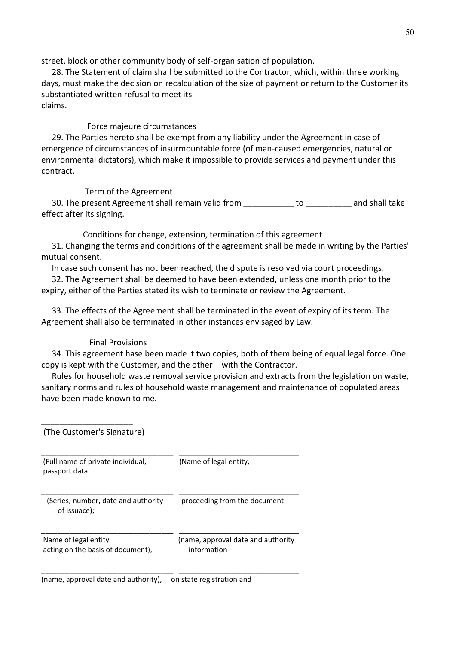street, block or other community body of self-organisation of population.

28. The Statement of claim shall be submitted to the Contractor, which, within three working days, must make the decision on recalculation of the size of payment or return to the Customer its substantiated written refusal to meet its claims.

#### Force majeure circumstances

29. The Parties hereto shall be exempt from any liability under the Agreement in case of emergence of circumstances of insurmountable force (of man-caused emergencies, natural or environmental dictators), which make it impossible to provide services and payment under this contract.

### Term of the Agreement

30. The present Agreement shall remain valid from \_\_\_\_\_\_\_\_\_\_\_ to \_\_\_\_\_\_\_\_\_\_ and shall take effect after its signing.

Conditions for change, extension, termination of this agreement

31. Changing the terms and conditions of the agreement shall be made in writing by the Parties' mutual consent.

In case such consent has not been reached, the dispute is resolved via court proceedings.

32. The Agreement shall be deemed to have been extended, unless one month prior to the expiry, either of the Parties stated its wish to terminate or review the Agreement.

33. The effects of the Agreement shall be terminated in the event of expiry of its term. The Agreement shall also be terminated in other instances envisaged by Law.

### Final Provisions

\_\_\_\_\_\_\_\_\_\_\_\_\_\_\_\_\_\_\_\_

34. This agreement hase been made it two copies, both of them being of equal legal force. One copy is kept with the Customer, and the other – with the Contractor.

Rules for household waste removal service provision and extracts from the legislation on waste, sanitary norms and rules of household waste management and maintenance of populated areas have been made known to me.

| (Full name of private individual,<br>passport data        | (Name of legal entity,                            |
|-----------------------------------------------------------|---------------------------------------------------|
| (Series, number, date and authority<br>of issuace);       | proceeding from the document                      |
| Name of legal entity<br>acting on the basis of document), | (name, approval date and authority<br>information |

(name, approval date and authority), on state registration and